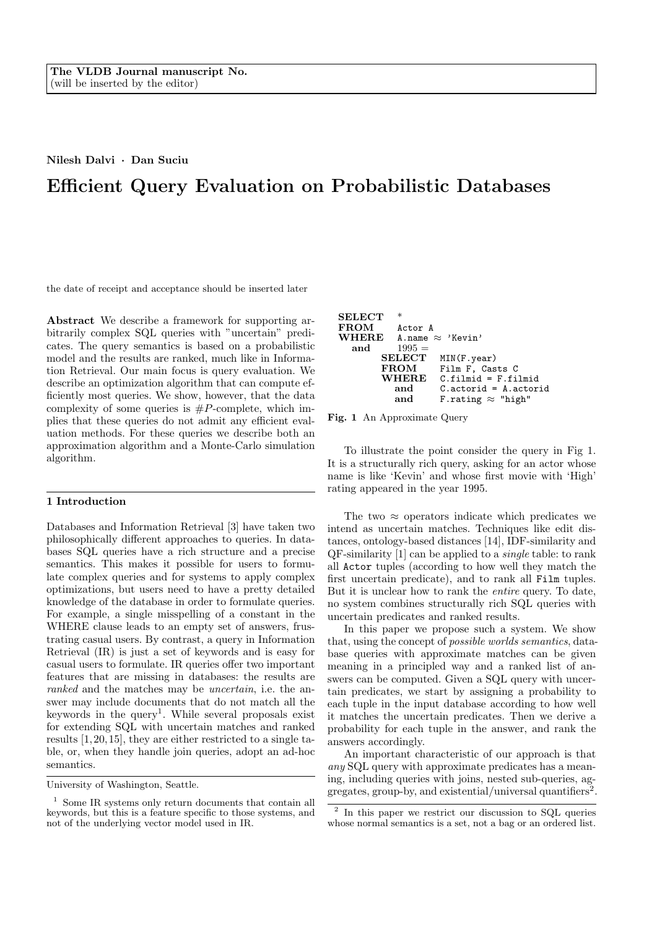## Nilesh Dalvi · Dan Suciu

# Efficient Query Evaluation on Probabilistic Databases

the date of receipt and acceptance should be inserted later

Abstract We describe a framework for supporting arbitrarily complex SQL queries with "uncertain" predicates. The query semantics is based on a probabilistic model and the results are ranked, much like in Information Retrieval. Our main focus is query evaluation. We describe an optimization algorithm that can compute efficiently most queries. We show, however, that the data complexity of some queries is  $\#P$ -complete, which implies that these queries do not admit any efficient evaluation methods. For these queries we describe both an approximation algorithm and a Monte-Carlo simulation algorithm.

# 1 Introduction

Databases and Information Retrieval [3] have taken two philosophically different approaches to queries. In databases SQL queries have a rich structure and a precise semantics. This makes it possible for users to formulate complex queries and for systems to apply complex optimizations, but users need to have a pretty detailed knowledge of the database in order to formulate queries. For example, a single misspelling of a constant in the WHERE clause leads to an empty set of answers, frustrating casual users. By contrast, a query in Information Retrieval (IR) is just a set of keywords and is easy for casual users to formulate. IR queries offer two important features that are missing in databases: the results are ranked and the matches may be *uncertain*, i.e. the answer may include documents that do not match all the keywords in the query<sup>1</sup>. While several proposals exist for extending SQL with uncertain matches and ranked results [1, 20, 15], they are either restricted to a single table, or, when they handle join queries, adopt an ad-hoc semantics.

| <b>SELECT</b> | *              |                               |
|---------------|----------------|-------------------------------|
| <b>FROM</b>   | Actor A        |                               |
| <b>WHERE</b>  |                | A. name $\approx$ 'Kevin'     |
| and           | $1995 =$       |                               |
|               | ${\rm SELECT}$ | MIN(F.year)                   |
|               | <b>FROM</b>    | Film F. Casts C               |
|               | <b>WHERE</b>   | $C.filmid = F.filmid$         |
|               | and            | $C$ . actorid = $A$ . actorid |
|               | and            | F.rating $\approx$ "high"     |



To illustrate the point consider the query in Fig 1. It is a structurally rich query, asking for an actor whose name is like 'Kevin' and whose first movie with 'High' rating appeared in the year 1995.

The two  $\approx$  operators indicate which predicates we intend as uncertain matches. Techniques like edit distances, ontology-based distances [14], IDF-similarity and QF-similarity [1] can be applied to a single table: to rank all Actor tuples (according to how well they match the first uncertain predicate), and to rank all Film tuples. But it is unclear how to rank the entire query. To date, no system combines structurally rich SQL queries with uncertain predicates and ranked results.

In this paper we propose such a system. We show that, using the concept of possible worlds semantics, database queries with approximate matches can be given meaning in a principled way and a ranked list of answers can be computed. Given a SQL query with uncertain predicates, we start by assigning a probability to each tuple in the input database according to how well it matches the uncertain predicates. Then we derive a probability for each tuple in the answer, and rank the answers accordingly.

An important characteristic of our approach is that any SQL query with approximate predicates has a meaning, including queries with joins, nested sub-queries, aggregates, group-by, and existential/universal quantifiers<sup>2</sup>.

University of Washington, Seattle.

 $^{\rm 1}$  Some IR systems only return documents that contain all keywords, but this is a feature specific to those systems, and not of the underlying vector model used in IR.

<sup>2</sup> In this paper we restrict our discussion to SQL queries whose normal semantics is a set, not a bag or an ordered list.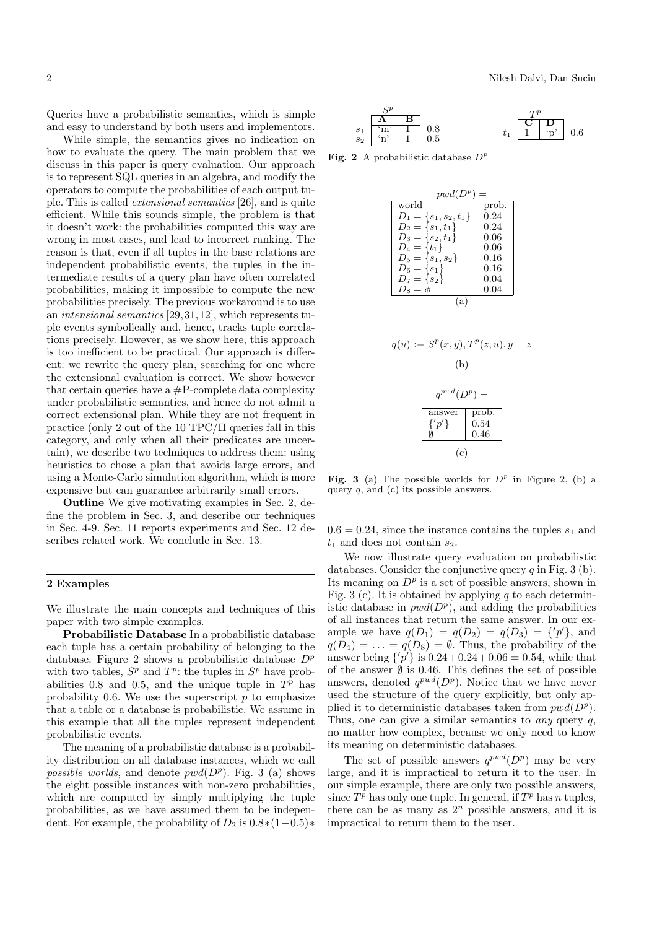Queries have a probabilistic semantics, which is simple and easy to understand by both users and implementors.

While simple, the semantics gives no indication on how to evaluate the query. The main problem that we discuss in this paper is query evaluation. Our approach is to represent SQL queries in an algebra, and modify the operators to compute the probabilities of each output tuple. This is called extensional semantics [26], and is quite efficient. While this sounds simple, the problem is that it doesn't work: the probabilities computed this way are wrong in most cases, and lead to incorrect ranking. The reason is that, even if all tuples in the base relations are independent probabilistic events, the tuples in the intermediate results of a query plan have often correlated probabilities, making it impossible to compute the new probabilities precisely. The previous workaround is to use an intensional semantics [29, 31,12], which represents tuple events symbolically and, hence, tracks tuple correlations precisely. However, as we show here, this approach is too inefficient to be practical. Our approach is different: we rewrite the query plan, searching for one where the extensional evaluation is correct. We show however that certain queries have a  $\#P$ -complete data complexity under probabilistic semantics, and hence do not admit a correct extensional plan. While they are not frequent in practice (only 2 out of the 10 TPC/H queries fall in this category, and only when all their predicates are uncertain), we describe two techniques to address them: using heuristics to chose a plan that avoids large errors, and using a Monte-Carlo simulation algorithm, which is more expensive but can guarantee arbitrarily small errors.

Outline We give motivating examples in Sec. 2, define the problem in Sec. 3, and describe our techniques in Sec. 4-9. Sec. 11 reports experiments and Sec. 12 describes related work. We conclude in Sec. 13.

## 2 Examples

We illustrate the main concepts and techniques of this paper with two simple examples.

Probabilistic Database In a probabilistic database each tuple has a certain probability of belonging to the database. Figure 2 shows a probabilistic database  $D^p$ with two tables,  $S^p$  and  $T^p$ : the tuples in  $S^p$  have probabilities 0.8 and 0.5, and the unique tuple in  $T^p$  has probability 0.6. We use the superscript  $p$  to emphasize that a table or a database is probabilistic. We assume in this example that all the tuples represent independent probabilistic events.

The meaning of a probabilistic database is a probability distribution on all database instances, which we call possible worlds, and denote  $pwd(D^p)$ . Fig. 3 (a) shows the eight possible instances with non-zero probabilities, which are computed by simply multiplying the tuple probabilities, as we have assumed them to be independent. For example, the probability of  $D_2$  is  $0.8*(1-0.5)*$ 

$$
\begin{array}{c|c}\nS^p \\
s_1 & \n\hline\n\begin{array}{c|c}\n & A & B \\
\hline\nm' & 1 & 0.8 \\
s_2 & n' & 1\n\end{array}\n\end{array}\n\quad\n\begin{array}{c}\nT^p \\
0.5 \\
t_1 & \n\hline\n\begin{array}{c|c}\n\hline\nC & D \\
\hline\n1 & \n\hline\np' & 0.6\n\end{array}\n\end{array}
$$

Fig. 2 A probabilistic database  $D^p$ 

| $pwd(D^p) =$                                 |                  |  |  |  |
|----------------------------------------------|------------------|--|--|--|
| world                                        | prob.            |  |  |  |
| $D_1 = \{s_1, s_2, t_1\}$                    | 0.24             |  |  |  |
| $D_2 = \{s_1, t_1\}$                         | 0.24             |  |  |  |
| $D_3 = \{s_2, t_1\}$                         | 0.06             |  |  |  |
| $D_4 = \{t_1\}$                              | 0.06             |  |  |  |
| $D_5 = \{s_1, s_2\}$                         | 0.16             |  |  |  |
| $D_6 = \{s_1\}$                              | 0.16             |  |  |  |
| $D_7 = \{s_2\}$                              | 0.04             |  |  |  |
| $D_8 = \phi$                                 | 0.04             |  |  |  |
| (a)<br>$q(u) := S^p(x, y), T^p(z, u), y = z$ |                  |  |  |  |
| (b)                                          |                  |  |  |  |
| $q^{pwd}(D^p) =$                             |                  |  |  |  |
| answer                                       | prob.            |  |  |  |
| $\{p'\}$                                     | $0.54\,$<br>0.46 |  |  |  |

Fig. 3 (a) The possible worlds for  $D^p$  in Figure 2, (b) a query  $q$ , and  $(c)$  its possible answers.

(c)

 $0.6 = 0.24$ , since the instance contains the tuples  $s_1$  and  $t_1$  and does not contain  $s_2$ .

We now illustrate query evaluation on probabilistic databases. Consider the conjunctive query q in Fig. 3 (b). Its meaning on  $D^p$  is a set of possible answers, shown in Fig. 3 (c). It is obtained by applying q to each deterministic database in  $pwd(D^p)$ , and adding the probabilities of all instances that return the same answer. In our example we have  $q(D_1) = q(D_2) = q(D_3) = \{'p'\}\,$ , and  $q(D_4) = \ldots = q(D_8) = \emptyset$ . Thus, the probability of the answer being  $\{p'\}\$ is  $0.24+0.24+0.06=0.54$ , while that of the answer  $\emptyset$  is 0.46. This defines the set of possible answers, denoted  $q^{pwd}(D^p)$ . Notice that we have never used the structure of the query explicitly, but only applied it to deterministic databases taken from  $pwd(D^p)$ . Thus, one can give a similar semantics to *any* query  $q$ , no matter how complex, because we only need to know its meaning on deterministic databases.

The set of possible answers  $q^{pwd}(D^p)$  may be very large, and it is impractical to return it to the user. In our simple example, there are only two possible answers, since  $T^p$  has only one tuple. In general, if  $T^p$  has n tuples, there can be as many as  $2^n$  possible answers, and it is impractical to return them to the user.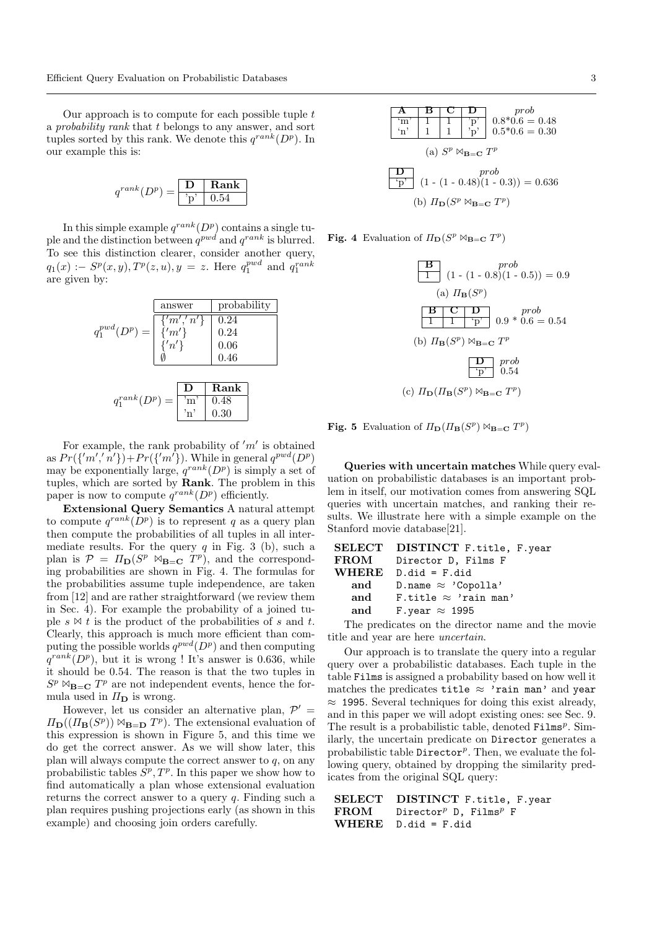Our approach is to compute for each possible tuple  $t$ a probability rank that t belongs to any answer, and sort tuples sorted by this rank. We denote this  $q^{rank}(D^p)$ . In our example this is:

$$
q^{rank}(D^p) = \boxed{\frac{\mathbf{D}}{\text{p}} \boxed{\text{Rank}}}
$$

In this simple example  $q^{rank}(D^p)$  contains a single tuple and the distinction between  $q^{pwd}$  and  $q^{rank}$  is blurred. To see this distinction clearer, consider another query,  $q_1(x) := S^p(x, y), T^p(z, u), y = z.$  Here  $q_1^{pwd}$  and  $q_1^{rank}$ are given by:



For example, the rank probability of  $'m'$  is obtained as  $Pr({m', n'}\) + Pr({m'\})$ . While in general  $q^{pwd}(D^p)$ may be exponentially large,  $q^{rank}(D^p)$  is simply a set of tuples, which are sorted by Rank. The problem in this paper is now to compute  $q^{rank}(D^p)$  efficiently.

Extensional Query Semantics A natural attempt to compute  $q^{rank}(D^p)$  is to represent q as a query plan then compute the probabilities of all tuples in all intermediate results. For the query  $q$  in Fig. 3 (b), such a plan is  $\mathcal{P} = \Pi_{\mathbf{D}}(S^p \bowtie_{\mathbf{B}=\mathbf{C}} T^p)$ , and the corresponding probabilities are shown in Fig. 4. The formulas for the probabilities assume tuple independence, are taken from [12] and are rather straightforward (we review them in Sec. 4). For example the probability of a joined tuple  $s \bowtie t$  is the product of the probabilities of s and t. Clearly, this approach is much more efficient than computing the possible worlds  $q^{pwd}(D^p)$  and then computing  $q^{rank}(D^p)$ , but it is wrong ! It's answer is 0.636, while it should be 0.54. The reason is that the two tuples in  $S^p \bowtie_{\mathbf{B}=\mathbf{C}} T^p$  are not independent events, hence the formula used in  $\Pi_{\mathbf{D}}$  is wrong.

However, let us consider an alternative plan,  $\mathcal{P}'$  =  $\Pi_{\mathbf{D}}((\Pi_{\mathbf{B}}(S^p)) \bowtie_{\mathbf{B}=\mathbf{D}} T^p)$ . The extensional evaluation of this expression is shown in Figure 5, and this time we do get the correct answer. As we will show later, this plan will always compute the correct answer to  $q$ , on any probabilistic tables  $S^p, T^p$ . In this paper we show how to find automatically a plan whose extensional evaluation returns the correct answer to a query  $q$ . Finding such a plan requires pushing projections early (as shown in this example) and choosing join orders carefully.

 $\begin{array}{|c|c|c|c|c|}\n\hline\n\textbf{A} & \textbf{B} & \textbf{C} & \textbf{D} & \text{prob} \\
\hline\n\textbf{m}^{\prime} & 1 & 1 & \textbf{p}^{\prime} & 0.8 & \textbf{0.6} = \hline\n\end{array}$  $\begin{array}{c|c|c|c|c|c|c|c} \hline \text{cm}^{\prime} & 1 & 1 & \text{p}^{\prime} & 0.8 & \text{*0.6} = 0.48 \\ \hline \text{m}^{\prime} & 1 & 1 & \text{p}^{\prime} & 0.5 & \text{*0.6} = 0.30 \\ \hline \end{array}$  $0.5*0.6 = 0.30$ (a)  $S^p \bowtie_{\mathbf{B}=\mathbf{C}} T^p$ prob  $(1 - 0.48)(1 - 0.3)) = 0.636$ (b)  $\Pi_{\mathbf{D}}(S^p \bowtie_{\mathbf{B}=\mathbf{C}} T^p)$ 

Fig. 4 Evaluation of  $\Pi_{\mathbf{D}}(S^p \bowtie_{\mathbf{B}=\mathbf{C}} T^p)$ 

$$
\begin{array}{c|c}\n\hline\n\mathbf{B} & prob \\
\hline\n1 & (1 - (1 - 0.8)(1 - 0.5)) = 0.9 \\
\hline\n\text{(a)} & H_{\mathbf{B}}(S^p) \\
\hline\n\mathbf{B} & \mathbf{C} & \mathbf{D} & prob \\
\hline\n1 & 1 & \mathbf{p'} & 0.9 * 0.6 = 0.54 \\
\hline\n\text{(b)} & H_{\mathbf{B}}(S^p) \bowtie_{\mathbf{B}=\mathbf{C}} T^p \\
\hline\n\mathbf{D} & \mathbf{p}rbb \\
\hline\n\mathbf{p'} & 0.54 \\
\hline\n\text{(c)} & H_{\mathbf{D}}(H_{\mathbf{B}}(S^p) \bowtie_{\mathbf{B}=\mathbf{C}} T^p)\n\end{array}
$$

Fig. 5 Evaluation of  $\Pi_{\mathbf{D}}(\Pi_{\mathbf{B}}(S^p) \bowtie_{\mathbf{B}=\mathbf{C}} T^p)$ 

Queries with uncertain matches While query evaluation on probabilistic databases is an important problem in itself, our motivation comes from answering SQL queries with uncertain matches, and ranking their results. We illustrate here with a simple example on the Stanford movie database[21].

|               | SELECT DISTINCT F.title, F.year |
|---------------|---------------------------------|
| $_{\rm FROM}$ | Director D, Films F             |
| <b>WHERE</b>  | $D$ .did = $F$ .did             |
| and           | D.name $\approx$ 'Copolla'      |
| and           | F.title $\approx$ 'rain man'    |
| and           | F.year $\approx$ 1995           |
|               |                                 |

The predicates on the director name and the movie title and year are here uncertain.

Our approach is to translate the query into a regular query over a probabilistic databases. Each tuple in the table Films is assigned a probability based on how well it matches the predicates title  $\approx$  'rain man' and year  $\approx$  1995. Several techniques for doing this exist already, and in this paper we will adopt existing ones: see Sec. 9. The result is a probabilistic table, denoted  $\texttt{Films}^p$ . Similarly, the uncertain predicate on Director generates a probabilistic table  $\text{Directory}^p$ . Then, we evaluate the following query, obtained by dropping the similarity predicates from the original SQL query:

```
SELECT DISTINCT F.title, F.year
\text{FROM} Director<sup>p</sup> D, Films<sup>p</sup> F
WHERE D.did = F.did
```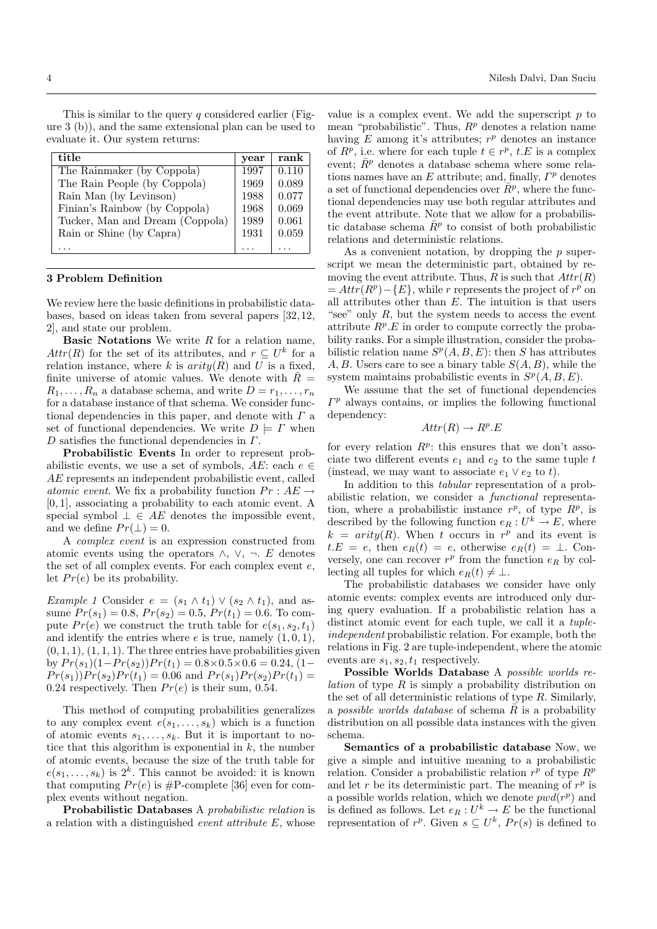This is similar to the query  $q$  considered earlier (Figure 3 (b)), and the same extensional plan can be used to evaluate it. Our system returns:

| title                           | year | rank  |
|---------------------------------|------|-------|
| The Rainmaker (by Coppola)      | 1997 | 0.110 |
| The Rain People (by Coppola)    | 1969 | 0.089 |
| Rain Man (by Levinson)          | 1988 | 0.077 |
| Finian's Rainbow (by Coppola)   | 1968 | 0.069 |
| Tucker, Man and Dream (Coppola) | 1989 | 0.061 |
| Rain or Shine (by Capra)        | 1931 | 0.059 |
|                                 |      |       |

#### 3 Problem Definition

We review here the basic definitions in probabilistic databases, based on ideas taken from several papers [32, 12, 2], and state our problem.

**Basic Notations** We write  $R$  for a relation name,  $Attr(R)$  for the set of its attributes, and  $r \subseteq U^k$  for a relation instance, where k is  $arity(R)$  and U is a fixed, finite universe of atomic values. We denote with  $\bar{R}$  =  $R_1, \ldots, R_n$  a database schema, and write  $D = r_1, \ldots, r_n$ for a database instance of that schema. We consider functional dependencies in this paper, and denote with  $\Gamma$  a set of functional dependencies. We write  $D \models \Gamma$  when D satisfies the functional dependencies in  $\Gamma$ .

Probabilistic Events In order to represent probabilistic events, we use a set of symbols,  $AE$ : each  $e \in$ AE represents an independent probabilistic event, called atomic event. We fix a probability function  $Pr : AE \rightarrow$ [0, 1], associating a probability to each atomic event. A special symbol  $\bot \in AE$  denotes the impossible event, and we define  $Pr(\perp) = 0$ .

A complex event is an expression constructed from atomic events using the operators  $\land$ ,  $\lor$ ,  $\neg$ . E denotes the set of all complex events. For each complex event e, let  $Pr(e)$  be its probability.

Example 1 Consider  $e = (s_1 \wedge t_1) \vee (s_2 \wedge t_1)$ , and assume  $Pr(s_1) = 0.8, Pr(s_2) = 0.5, Pr(t_1) = 0.6$ . To compute  $Pr(e)$  we construct the truth table for  $e(s_1, s_2, t_1)$ and identify the entries where  $e$  is true, namely  $(1, 0, 1)$ ,  $(0, 1, 1), (1, 1, 1)$ . The three entries have probabilities given by  $Pr(s_1)(1-Pr(s_2))Pr(t_1) = 0.8 \times 0.5 \times 0.6 = 0.24, (1 Pr(s_1)$ ) $Pr(s_2)Pr(t_1) = 0.06$  and  $Pr(s_1)Pr(s_2)Pr(t_1) = 0.06$ 0.24 respectively. Then  $Pr(e)$  is their sum, 0.54.

This method of computing probabilities generalizes to any complex event  $e(s_1, \ldots, s_k)$  which is a function of atomic events  $s_1, \ldots, s_k$ . But it is important to notice that this algorithm is exponential in  $k$ , the number of atomic events, because the size of the truth table for  $e(s_1, \ldots, s_k)$  is  $2^k$ . This cannot be avoided: it is known that computing  $Pr(e)$  is #P-complete [36] even for complex events without negation.

Probabilistic Databases A probabilistic relation is a relation with a distinguished event attribute E, whose

value is a complex event. We add the superscript  $p$  to mean "probabilistic". Thus,  $R<sup>p</sup>$  denotes a relation name having  $E$  among it's attributes;  $r^p$  denotes an instance of  $R^p$ , i.e. where for each tuple  $t \in r^p$ ,  $t.E$  is a complex event;  $\bar{R}^p$  denotes a database schema where some relations names have an  $E$  attribute; and, finally,  $\Gamma^p$  denotes a set of functional dependencies over  $\bar{R}^p$ , where the functional dependencies may use both regular attributes and the event attribute. Note that we allow for a probabilistic database schema  $\overline{R}^p$  to consist of both probabilistic relations and deterministic relations.

As a convenient notation, by dropping the  $p$  superscript we mean the deterministic part, obtained by removing the event attribute. Thus, R is such that  $Attr(R)$  $= Attr(R<sup>p</sup>) - {E}$ , while r represents the project of  $r<sup>p</sup>$  on all attributes other than  $E$ . The intuition is that users "see" only  $R$ , but the system needs to access the event attribute  $R^p.E$  in order to compute correctly the probability ranks. For a simple illustration, consider the probabilistic relation name  $S^p(A, B, E)$ : then S has attributes A, B. Users care to see a binary table  $S(A, B)$ , while the system maintains probabilistic events in  $S^p(A, B, E)$ .

We assume that the set of functional dependencies  $\Gamma^p$  always contains, or implies the following functional dependency:

$$
Attr(R) \to R^p.E
$$

for every relation  $R^p$ : this ensures that we don't associate two different events  $e_1$  and  $e_2$  to the same tuple t (instead, we may want to associate  $e_1 \vee e_2$  to t).

In addition to this tabular representation of a probabilistic relation, we consider a functional representation, where a probabilistic instance  $r^p$ , of type  $R^p$ , is described by the following function  $e_R: U^k \to E$ , where  $k = arity(R)$ . When t occurs in  $r^p$  and its event is  $t.E = e$ , then  $e_R(t) = e$ , otherwise  $e_R(t) = \perp$ . Conversely, one can recover  $r^p$  from the function  $e_R$  by collecting all tuples for which  $e_R(t) \neq \perp$ .

The probabilistic databases we consider have only atomic events: complex events are introduced only during query evaluation. If a probabilistic relation has a distinct atomic event for each tuple, we call it a *tuple*independent probabilistic relation. For example, both the relations in Fig. 2 are tuple-independent, where the atomic events are  $s_1, s_2, t_1$  respectively.

Possible Worlds Database A possible worlds re*lation* of type  $R$  is simply a probability distribution on the set of all deterministic relations of type  $R$ . Similarly, a possible worlds database of schema  $\overline{R}$  is a probability distribution on all possible data instances with the given schema.

Semantics of a probabilistic database Now, we give a simple and intuitive meaning to a probabilistic relation. Consider a probabilistic relation  $r^p$  of type  $R^p$ and let r be its deterministic part. The meaning of  $r^p$  is a possible worlds relation, which we denote  $pwd(r^p)$  and is defined as follows. Let  $e_R: U^k \to E$  be the functional representation of  $r^p$ . Given  $s \subseteq U^k$ ,  $Pr(s)$  is defined to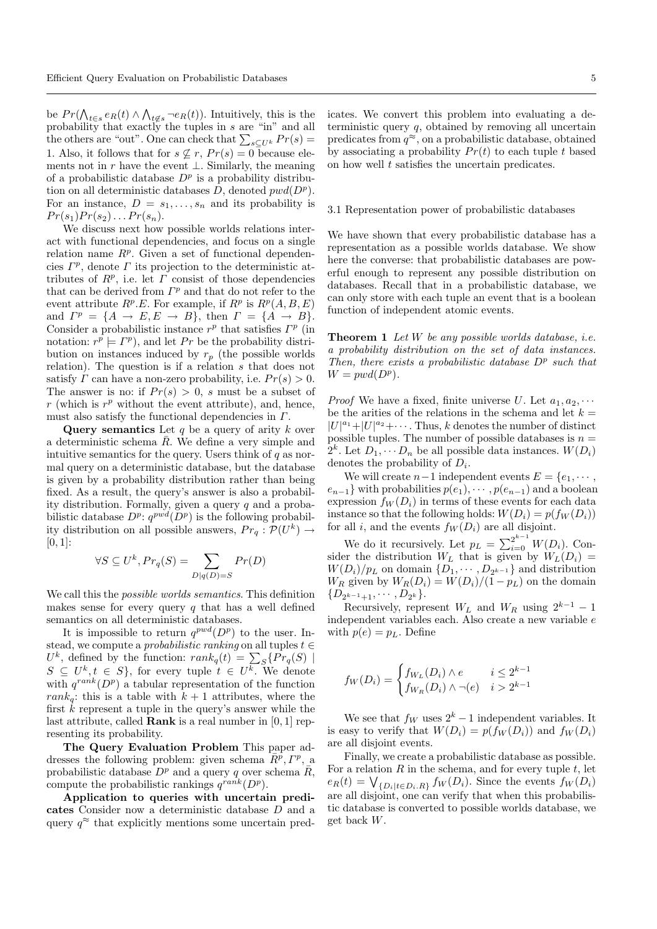be  $Pr(\bigwedge_{t \in s} e_R(t) \wedge \bigwedge_{t \notin s} \neg e_R(t))$ . Intuitively, this is the probability that exactly the tuples in s are "in" and all the others are "out". One can check that  $\sum_{s\subseteq U^k} Pr(s) =$ 1. Also, it follows that for  $s \nsubseteq r$ ,  $Pr(s) = 0$  because elements not in  $r$  have the event  $\bot$ . Similarly, the meaning of a probabilistic database  $D^p$  is a probability distribution on all deterministic databases  $D$ , denoted  $pwd(D^p)$ . For an instance,  $D = s_1, \ldots, s_n$  and its probability is  $Pr(s_1)Pr(s_2)...Pr(s_n).$ 

We discuss next how possible worlds relations interact with functional dependencies, and focus on a single relation name  $R^p$ . Given a set of functional dependencies  $\Gamma^p$ , denote  $\Gamma$  its projection to the deterministic attributes of  $R^p$ , i.e. let  $\Gamma$  consist of those dependencies that can be derived from  $\Gamma^p$  and that do not refer to the event attribute  $R^p.E$ . For example, if  $R^p$  is  $R^p(A, B, E)$ and  $\Gamma^p = \{A \to E, E \to B\}$ , then  $\Gamma = \{A \to B\}$ . Consider a probabilistic instance  $r^p$  that satisfies  $\Gamma^p$  (in notation:  $r^p \models \Gamma^p$ , and let Pr be the probability distribution on instances induced by  $r_p$  (the possible worlds relation). The question is if a relation  $s$  that does not satisfy  $\Gamma$  can have a non-zero probability, i.e.  $Pr(s) > 0$ . The answer is no: if  $Pr(s) > 0$ , s must be a subset of r (which is  $r^p$  without the event attribute), and, hence, must also satisfy the functional dependencies in  $\Gamma$ .

Query semantics Let q be a query of arity  $k$  over a deterministic schema  $\overline{R}$ . We define a very simple and intuitive semantics for the query. Users think of  $q$  as normal query on a deterministic database, but the database is given by a probability distribution rather than being fixed. As a result, the query's answer is also a probability distribution. Formally, given a query  $q$  and a probabilistic database  $D^p$ :  $q^{pwd}(D^p)$  is the following probability distribution on all possible answers,  $Pr_q: \mathcal{P}(U^k) \rightarrow$  $[0, 1]$ :

$$
\forall S \subseteq U^k, Pr_q(S) = \sum_{D|q(D)=S} Pr(D)
$$

We call this the possible worlds semantics. This definition makes sense for every query  $q$  that has a well defined semantics on all deterministic databases.

It is impossible to return  $q^{pwd}(D^p)$  to the user. Instead, we compute a *probabilistic ranking* on all tuples  $t \in$  $U^k$ , defined by the function:  $rank_q(t) = \sum_S \{Pr_q(S) |$  $S \subseteq U^k, t \in S$ , for every tuple  $t \in U^k$ . We denote with  $q^{rank}(D^p)$  a tabular representation of the function rank<sub>a</sub>: this is a table with  $k + 1$  attributes, where the first  $\hat{k}$  represent a tuple in the query's answer while the last attribute, called Rank is a real number in [0, 1] representing its probability.

The Query Evaluation Problem This paper addresses the following problem: given schema  $\overline{R}^p$ ,  $\Gamma^p$ , a probabilistic database  $D^p$  and a query q over schema  $\bar{R}$ , compute the probabilistic rankings  $q^{rank}(D^p)$ .

Application to queries with uncertain predicates Consider now a deterministic database D and a query  $q^{\approx}$  that explicitly mentions some uncertain predicates. We convert this problem into evaluating a deterministic query  $q$ , obtained by removing all uncertain predicates from  $q^{\approx}$ , on a probabilistic database, obtained by associating a probability  $Pr(t)$  to each tuple t based on how well t satisfies the uncertain predicates.

## 3.1 Representation power of probabilistic databases

We have shown that every probabilistic database has a representation as a possible worlds database. We show here the converse: that probabilistic databases are powerful enough to represent any possible distribution on databases. Recall that in a probabilistic database, we can only store with each tuple an event that is a boolean function of independent atomic events.

**Theorem 1** Let W be any possible worlds database, i.e. a probability distribution on the set of data instances. Then, there exists a probabilistic database  $D^p$  such that  $W = pwd(D^p).$ 

*Proof* We have a fixed, finite universe U. Let  $a_1, a_2, \cdots$ be the arities of the relations in the schema and let  $k =$  $|U|^{a_1}+|U|^{a_2}+\cdots$ . Thus, k denotes the number of distinct possible tuples. The number of possible databases is  $\boldsymbol{n} =$  $2^k$ . Let  $D_1, \cdots D_n$  be all possible data instances.  $W(D_i)$ denotes the probability of  $D_i$ .

We will create  $n-1$  independent events  $E = \{e_1, \dots, e_n\}$  $e_{n-1}$ } with probabilities  $p(e_1), \cdots, p(e_{n-1})$  and a boolean expression  $f_W(D_i)$  in terms of these events for each data instance so that the following holds:  $W(D_i) = p(f_W(D_i))$ for all i, and the events  $f_W(D_i)$  are all disjoint.

We do it recursively. Let  $p_L = \sum_{i=0}^{2^{k-1}} W(D_i)$ . Consider the distribution  $W_L$  that is given by  $W_L(D_i)$  =  $W(D_i)/p_L$  on domain  $\{D_1, \cdots, D_{2^{k-1}}\}\$ and distribution  $W_R$  given by  $W_R(D_i) = W(D_i)/(1 - p_L)$  on the domain  $\{D_{2^{k-1}+1}, \cdots, D_{2^k}\}.$ 

Recursively, represent  $W_L$  and  $W_R$  using  $2^{k-1} - 1$ independent variables each. Also create a new variable  $e$ with  $p(e) = p<sub>L</sub>$ . Define

$$
f_W(D_i) = \begin{cases} f_{W_L}(D_i) \wedge e & i \leq 2^{k-1} \\ f_{W_R}(D_i) \wedge \neg(e) & i > 2^{k-1} \end{cases}
$$

We see that  $f_W$  uses  $2^k - 1$  independent variables. It is easy to verify that  $W(D_i) = p(f_W(D_i))$  and  $f_W(D_i)$ are all disjoint events.

Finally, we create a probabilistic database as possible. For a relation  $R$  in the schema, and for every tuple  $t$ , let  $e_R(t) = \bigvee_{\{D_i \mid t \in D_i \cup R\}} f_W(D_i)$ . Since the events  $f_W(D_i)$ are all disjoint, one can verify that when this probabilistic database is converted to possible worlds database, we get back W.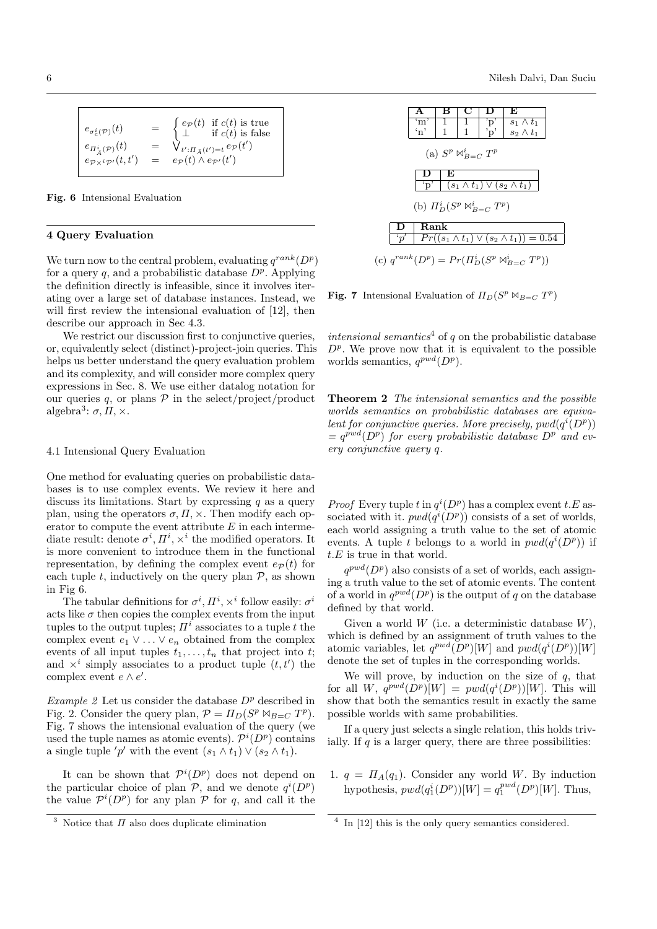$$
e_{\sigma_c^i(\mathcal{P})}(t) = \begin{cases} e_{\mathcal{P}}(t) & \text{if } c(t) \text{ is true} \\ \bot & \text{if } c(t) \text{ is false} \\ e_{\Pi_A^i(\mathcal{P})}(t) & = \sqrt{\Psi_{t':\Pi_{\bar{A}}(t')=t}} e_{\mathcal{P}}(t') \\ e_{\mathcal{P} \times i\mathcal{P}'}(t, t') & = e_{\mathcal{P}}(t) \wedge e_{\mathcal{P}'}(t') \end{cases}
$$

Fig. 6 Intensional Evaluation

# 4 Query Evaluation

We turn now to the central problem, evaluating  $q^{rank}(D^p)$ for a query q, and a probabilistic database  $D^p$ . Applying the definition directly is infeasible, since it involves iterating over a large set of database instances. Instead, we will first review the intensional evaluation of [12], then describe our approach in Sec 4.3.

We restrict our discussion first to conjunctive queries, or, equivalently select (distinct)-project-join queries. This helps us better understand the query evaluation problem and its complexity, and will consider more complex query expressions in Sec. 8. We use either datalog notation for our queries q, or plans  $P$  in the select/project/product algebra<sup>3</sup>:  $\sigma$ ,  $\Pi$ ,  $\times$ .

#### 4.1 Intensional Query Evaluation

One method for evaluating queries on probabilistic databases is to use complex events. We review it here and discuss its limitations. Start by expressing  $q$  as a query plan, using the operators  $\sigma, \Pi, \times$ . Then modify each operator to compute the event attribute  $E$  in each intermediate result: denote  $\sigma^i, \Pi^i, \times^i$  the modified operators. It is more convenient to introduce them in the functional representation, by defining the complex event  $e_{\mathcal{P}}(t)$  for each tuple t, inductively on the query plan  $P$ , as shown in Fig 6.

The tabular definitions for  $\sigma^i, \Pi^i, \times^i$  follow easily:  $\sigma^i$ acts like  $\sigma$  then copies the complex events from the input tuples to the output tuples;  $\Pi^i$  associates to a tuple t the complex event  $e_1 \vee \ldots \vee e_n$  obtained from the complex events of all input tuples  $t_1, \ldots, t_n$  that project into t; and  $\times^i$  simply associates to a product tuple  $(t, t')$  the complex event  $e \wedge e'$ .

Example 2 Let us consider the database  $D^p$  described in Fig. 2. Consider the query plan,  $\mathcal{P} = \prod_D (S^p \bowtie_{B=C} T^p)$ . Fig. 7 shows the intensional evaluation of the query (we used the tuple names as atomic events).  $\mathcal{P}^i(D^p)$  contains a single tuple 'p' with the event  $(s_1 \wedge t_1) \vee (s_2 \wedge t_1)$ .

It can be shown that  $\mathcal{P}^i(D^p)$  does not depend on the particular choice of plan  $P$ , and we denote  $q^{i}(D^{p})$ the value  $\mathcal{P}^i(D^p)$  for any plan P for q, and call it the

 $\begin{array}{|c|c|c|c|c|c|}\n\hline\n\textbf{A} & \textbf{B} & \textbf{C} & \textbf{D} & \textbf{E}\n\end{array}$  $\begin{array}{c|c|c|c|c} \mbox{'m'} & 1 & 1 & \mbox{'p'} & s_1 \wedge t_1 \ \mbox{'n'} & 1 & 1 & \mbox{'p'} & s_2 \wedge t_1 \ \end{array}$  $s_2 \wedge t_1$ (a)  $S^p \bowtie_{B=C}^i T^p$ D E  $\mathfrak{p}'$   $(s_1 \wedge t_1) \vee (s_2 \wedge t_1)$ (b)  $\Pi_D^i(S^p \bowtie_{B=C}^i T^p)$ D | Rank  $\cdot_n$  $Pr((s_1 \wedge t_1) \vee (s_2 \wedge t_1)) = 0.54$ (c)  $q^{rank}(D^p) = Pr(\Pi_D^i(S^p \bowtie_{B=C}^{i} T^p))$ 

Fig. 7 Intensional Evaluation of  $\Pi_D(S^p \bowtie_{B=C} T^p)$ 

intensional semantics<sup>4</sup> of q on the probabilistic database  $D^p$ . We prove now that it is equivalent to the possible worlds semantics,  $q^{pwd}(D^p)$ .

Theorem 2 The intensional semantics and the possible worlds semantics on probabilistic databases are equivalent for conjunctive queries. More precisely,  $pwd(q^{i}(D^{p}))$  $= q^{pwd}(D^p)$  for every probabilistic database  $D^p$  and every conjunctive query q.

*Proof* Every tuple t in  $q^{i}(D^{p})$  has a complex event t.E associated with it.  $pwd(q^i(D^p))$  consists of a set of worlds, each world assigning a truth value to the set of atomic events. A tuple t belongs to a world in  $pwd(q^{i}(D^p))$  if  $t.E$  is true in that world.

 $q^{pwd}(D^p)$  also consists of a set of worlds, each assigning a truth value to the set of atomic events. The content of a world in  $q^{pwd}(D^p)$  is the output of q on the database defined by that world.

Given a world  $W$  (i.e. a deterministic database  $W$ ), which is defined by an assignment of truth values to the atomic variables, let  $q^{pwd}(D^p)[W]$  and  $pwd(q^i(D^p))[W]$ denote the set of tuples in the corresponding worlds.

We will prove, by induction on the size of  $q$ , that for all W,  $q^{pwd}(D^p)[W] = pwd(q^i(D^p))[W]$ . This will show that both the semantics result in exactly the same possible worlds with same probabilities.

If a query just selects a single relation, this holds trivially. If  $q$  is a larger query, there are three possibilities:

1.  $q = \Pi_A(q_1)$ . Consider any world W. By induction hypothesis,  $pwd(q_1^i(D^p))[W] = q_1^{pwd}(D^p)[W]$ . Thus,

<sup>&</sup>lt;sup>3</sup> Notice that  $\Pi$  also does duplicate elimination

<sup>&</sup>lt;sup>4</sup> In [12] this is the only query semantics considered.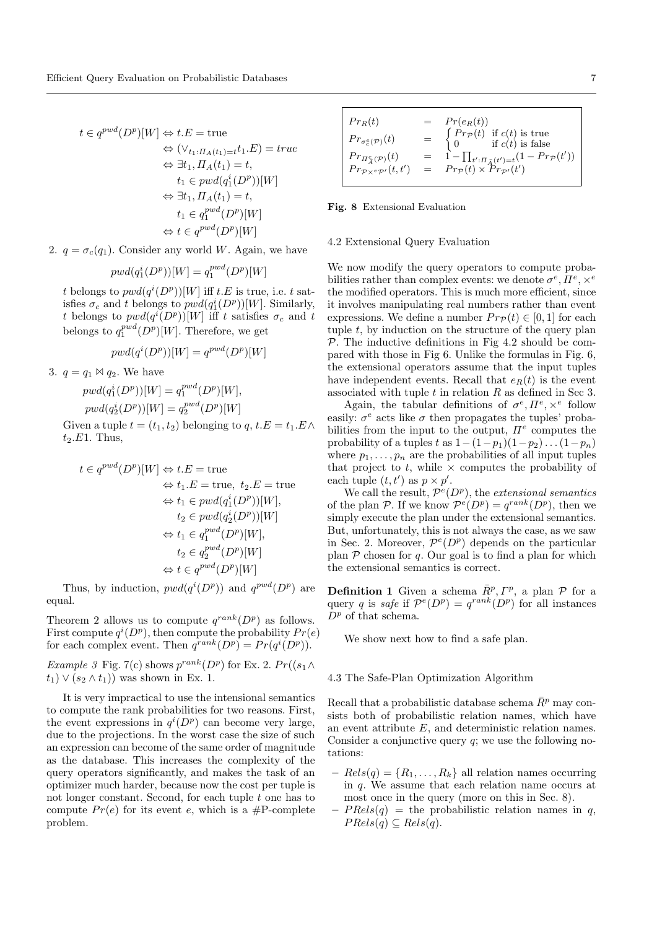$$
t \in q^{pwd}(D^p)[W] \Leftrightarrow t.E = \text{true}
$$
  
\n
$$
\Leftrightarrow (\vee_{t_1:H_A(t_1)=t}t_1.E) = true
$$
  
\n
$$
\Leftrightarrow \exists t_1, \Pi_A(t_1) = t,
$$
  
\n
$$
t_1 \in pwd(q_1^i(D^p))[W]
$$
  
\n
$$
\Leftrightarrow \exists t_1, \Pi_A(t_1) = t,
$$
  
\n
$$
t_1 \in q_1^{pwd}(D^p)[W]
$$
  
\n
$$
\Leftrightarrow t \in q^{pwd}(D^p)[W]
$$

2.  $q = \sigma_c(q_1)$ . Consider any world W. Again, we have

$$
pwd(q_1^i(D^p))[W] = q_1^{pwd}(D^p)[W]
$$

t belongs to  $pwd(q^i(D^p))[W]$  iff  $t.E$  is true, i.e. t satisfies  $\sigma_c$  and t belongs to  $pwd(q_1^i(D^p))[W]$ . Similarly, t belongs to  $pwd(q^i(D^p))[W]$  iff t satisfies  $\sigma_c$  and t belongs to  $q_1^{pwd}(D^p)[W]$ . Therefore, we get

$$
pwd(q^{i}(D^p))[W] = q^{pwd}(D^p)[W]
$$

3.  $q = q_1 \bowtie q_2$ . We have

$$
pwd(q_1^i(D^p))[W] = q_1^{pwd}(D^p)[W],
$$
  
\n
$$
pwd(q_2^i(D^p))[W] = q_2^{pwd}(D^p)[W]
$$

Given a tuple  $t = (t_1, t_2)$  belonging to  $q, t.E = t_1.E \wedge$  $t_2.E1.$  Thus,

$$
t \in q^{pwd}(D^p)[W] \Leftrightarrow t.E = \text{true}
$$
  
\n
$$
\Leftrightarrow t_1.E = \text{true}, t_2.E = \text{true}
$$
  
\n
$$
\Leftrightarrow t_1 \in pwd(q_1^i(D^p))[W],
$$
  
\n
$$
t_2 \in pwd(q_2^i(D^p))[W]
$$
  
\n
$$
\Leftrightarrow t_1 \in q_1^{pwd}(D^p)[W],
$$
  
\n
$$
t_2 \in q_2^{pwd}(D^p)[W]
$$
  
\n
$$
\Leftrightarrow t \in q^{pwd}(D^p)[W]
$$

Thus, by induction,  $pwd(q^i(D^p))$  and  $q^{pwd}(D^p)$  are equal.

Theorem 2 allows us to compute  $q^{rank}(D^p)$  as follows. First compute  $q^{i}(D^{p})$ , then compute the probability  $Pr(e)$ for each complex event. Then  $q^{rank}(D^p) = Pr(q^i(D^p)).$ 

*Example 3* Fig. 7(c) shows  $p^{rank}(D^p)$  for Ex. 2.  $Pr((s_1 \wedge$  $t_1$ )  $\vee$   $(s_2 \wedge t_1)$ ) was shown in Ex. 1.

It is very impractical to use the intensional semantics to compute the rank probabilities for two reasons. First, the event expressions in  $q^{i}(D^{p})$  can become very large, due to the projections. In the worst case the size of such an expression can become of the same order of magnitude as the database. This increases the complexity of the query operators significantly, and makes the task of an optimizer much harder, because now the cost per tuple is not longer constant. Second, for each tuple  $t$  one has to compute  $Pr(e)$  for its event e, which is a #P-complete problem.

| $Pr_R(t)$                                                                                    | $= Pr(e_R(t))$                                                                                                                  |
|----------------------------------------------------------------------------------------------|---------------------------------------------------------------------------------------------------------------------------------|
| $Pr_{\sigma_c^e(\mathcal{P})}(t)$                                                            | $= \begin{cases} Pr_{\mathcal{P}}(t) & \text{if } c(t) \text{ is true} \\ 0 & \text{if } c(t) \text{ is false} \end{cases}$     |
| $Pr_{\Pi_{\overline{A}}^e(\mathcal{P})}(t)$<br>$Pr_{\mathcal{P} \times e\mathcal{P}'}(t,t')$ | $= 1 - \prod_{t':\Pi_{\bar{A}}(t')=t} (1 - Pr_{\mathcal{P}}(t'))$<br>$= Pr_{\mathcal{P}}(t) \times \hat{Pr}_{\mathcal{P}'}(t')$ |
|                                                                                              |                                                                                                                                 |

#### Fig. 8 Extensional Evaluation

#### 4.2 Extensional Query Evaluation

We now modify the query operators to compute probabilities rather than complex events: we denote  $\sigma^e, \Pi^e, \times^e$ the modified operators. This is much more efficient, since it involves manipulating real numbers rather than event expressions. We define a number  $Pr_{\mathcal{P}}(t) \in [0,1]$  for each tuple  $t$ , by induction on the structure of the query plan  $P$ . The inductive definitions in Fig 4.2 should be compared with those in Fig 6. Unlike the formulas in Fig. 6, the extensional operators assume that the input tuples have independent events. Recall that  $e_R(t)$  is the event associated with tuple  $t$  in relation  $R$  as defined in Sec 3.

Again, the tabular definitions of  $\sigma^e, \Pi^e, \times^e$  follow easily:  $\sigma^e$  acts like  $\sigma$  then propagates the tuples' probabilities from the input to the output,  $\Pi^e$  computes the probability of a tuples t as  $1-(1-p_1)(1-p_2)...(1-p_n)$ where  $p_1, \ldots, p_n$  are the probabilities of all input tuples that project to t, while  $\times$  computes the probability of each tuple  $(t, t')$  as  $p \times p'$ .

We call the result,  $\mathcal{P}^e(D^p)$ , the extensional semantics of the plan P. If we know  $\mathcal{P}^e(D^p) = q^{rank}(D^p)$ , then we simply execute the plan under the extensional semantics. But, unfortunately, this is not always the case, as we saw in Sec. 2. Moreover,  $\mathcal{P}^e(D^p)$  depends on the particular plan  $P$  chosen for  $q$ . Our goal is to find a plan for which the extensional semantics is correct.

**Definition 1** Given a schema  $\bar{R}^p$ ,  $\Gamma^p$ , a plan  $\mathcal P$  for a query q is safe if  $\mathcal{P}^e(D^p) = q^{rank}(D^p)$  for all instances  $D^p$  of that schema.

We show next how to find a safe plan.

#### 4.3 The Safe-Plan Optimization Algorithm

Recall that a probabilistic database schema  $\bar{R}^p$  may consists both of probabilistic relation names, which have an event attribute E, and deterministic relation names. Consider a conjunctive query  $q$ ; we use the following notations:

- $Rels(q) = \{R_1, \ldots, R_k\}$  all relation names occurring in q. We assume that each relation name occurs at most once in the query (more on this in Sec. 8).
- $PRels(q)$  = the probabilistic relation names in q,  $PRels(q) \subseteq Rels(q).$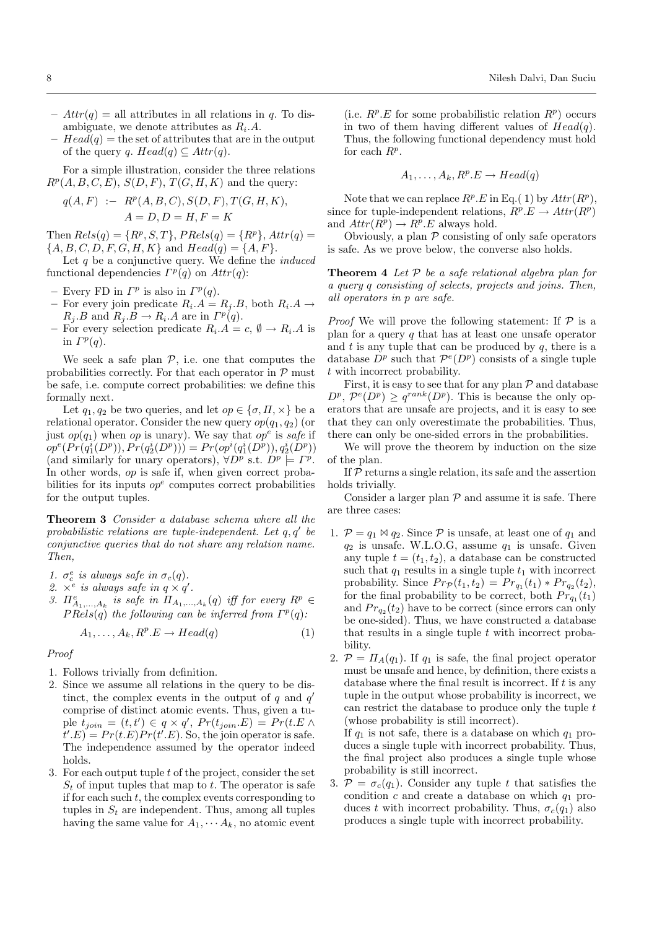- $Attr(q) =$  all attributes in all relations in q. To disambiguate, we denote attributes as  $R_i.A$ .
- $Head(q)$  = the set of attributes that are in the output of the query q.  $Head(q) \subseteq Attr(q)$ .

For a simple illustration, consider the three relations  $R^p(A, B, C, E), S(D, F), T(G, H, K)$  and the query:

$$
q(A, F) := Rp(A, B, C), S(D, F), T(G, H, K), A = D, D = H, F = K
$$

Then  $Rels(q) = \{R^p, S, T\}$ ,  $PRels(q) = \{R^p\}$ ,  $Attr(q)$  ${A, B, C, D, F, G, H, K}$  and  $Head(q) = {A, F}.$ 

Let  $q$  be a conjunctive query. We define the *induced* functional dependencies  $\Gamma^p(q)$  on  $Attr(q)$ :

- Every FD in  $\Gamma^p$  is also in  $\Gamma^p(q)$ .
- For every join predicate  $R_i.A = R_j.B$ , both  $R_i.A \rightarrow$  $R_j.B \text{ and } R_j.B \to R_i.A \text{ are in } \Gamma^p(q).$
- For every selection predicate  $R_i.A = c, \emptyset \rightarrow R_i.A$  is in  $\Gamma^p(q)$ .

We seek a safe plan  $P$ , i.e. one that computes the probabilities correctly. For that each operator in  $P$  must be safe, i.e. compute correct probabilities: we define this formally next.

Let  $q_1, q_2$  be two queries, and let  $op \in {\sigma, \Pi, \times}$  be a relational operator. Consider the new query  $op(q_1, q_2)$  (or just  $op(q_1)$  when op is unary). We say that  $op^e$  is safe if  $op^e(Pr(q_1^i(D^p)), Pr(q_2^i(D^p))) = Pr(op^i(q_1^i(D^p)), q_2^i(D^p))$ (and similarly for unary operators),  $\forall D^p$  s.t.  $D^p \models \Gamma^p$ . In other words, op is safe if, when given correct probabilities for its inputs  $op<sup>e</sup>$  computes correct probabilities for the output tuples.

Theorem 3 Consider a database schema where all the probabilistic relations are tuple-independent. Let  $q, q'$  be conjunctive queries that do not share any relation name. Then,

- 1.  $\sigma_c^e$  is always safe in  $\sigma_c(q)$ .
- 2.  $\times^e$  is always safe in  $q \times q'$ .
- 3.  $\Pi_{A_1,...,A_k}^e$  is safe in  $\Pi_{A_1,...,A_k}(q)$  iff for every  $R^p \in$  $PRels(q)$  the following can be inferred from  $\Gamma^p(q)$ :

$$
A_1, \dots, A_k, R^p \to Head(q) \tag{1}
$$

Proof

- 1. Follows trivially from definition.
- 2. Since we assume all relations in the query to be distinct, the complex events in the output of  $q$  and  $q'$ comprise of distinct atomic events. Thus, given a tuple  $t_{join} = (t, t') \in q \times q', Pr(t_{join}.E) = Pr(t.E \wedge$  $(t'.E) = Pr(t.E)Pr(t'.E)$ . So, the join operator is safe. The independence assumed by the operator indeed holds.
- 3. For each output tuple  $t$  of the project, consider the set  $S_t$  of input tuples that map to t. The operator is safe if for each such  $t$ , the complex events corresponding to tuples in  $S_t$  are independent. Thus, among all tuples having the same value for  $A_1, \cdots, A_k$ , no atomic event

(i.e.  $R^p.E$  for some probabilistic relation  $R^p$ ) occurs in two of them having different values of  $Head(q)$ . Thus, the following functional dependency must hold for each  $R^p$ .

$$
A_1, \ldots, A_k, R^p.E \to Head(q)
$$

Note that we can replace  $R^p.E$  in Eq.(1) by  $Attr(R^p)$ , since for tuple-independent relations,  $R^p.E \to Attr(R^p)$ and  $Attr(R^p) \rightarrow R^p.E$  always hold.

Obviously, a plan  $P$  consisting of only safe operators is safe. As we prove below, the converse also holds.

**Theorem 4** Let  $P$  be a safe relational algebra plan for a query q consisting of selects, projects and joins. Then, all operators in p are safe.

*Proof* We will prove the following statement: If  $P$  is a plan for a query  $q$  that has at least one unsafe operator and  $t$  is any tuple that can be produced by  $q$ , there is a database  $D^p$  such that  $\mathcal{P}^e(D^p)$  consists of a single tuple t with incorrect probability.

First, it is easy to see that for any plan  $P$  and database  $D^p$ ,  $\mathcal{P}^e(D^p) \geq q^{rank}(D^p)$ . This is because the only operators that are unsafe are projects, and it is easy to see that they can only overestimate the probabilities. Thus, there can only be one-sided errors in the probabilities.

We will prove the theorem by induction on the size of the plan.

If  $P$  returns a single relation, its safe and the assertion holds trivially.

Consider a larger plan  $P$  and assume it is safe. There are three cases:

- 1.  $P = q_1 \bowtie q_2$ . Since P is unsafe, at least one of  $q_1$  and  $q_2$  is unsafe. W.L.O.G, assume  $q_1$  is unsafe. Given any tuple  $t = (t_1, t_2)$ , a database can be constructed such that  $q_1$  results in a single tuple  $t_1$  with incorrect probability. Since  $Pr_{\mathcal{P}}(t_1, t_2) = Pr_{q_1}(t_1) * Pr_{q_2}(t_2),$ for the final probability to be correct, both  $Pr_{q_1}(t_1)$ and  $Pr_{q_2}(t_2)$  have to be correct (since errors can only be one-sided). Thus, we have constructed a database that results in a single tuple  $t$  with incorrect probability.
- 2.  $\mathcal{P} = \Pi_A(q_1)$ . If  $q_1$  is safe, the final project operator must be unsafe and hence, by definition, there exists a database where the final result is incorrect. If t is any tuple in the output whose probability is incorrect, we can restrict the database to produce only the tuple t (whose probability is still incorrect).

If  $q_1$  is not safe, there is a database on which  $q_1$  produces a single tuple with incorrect probability. Thus, the final project also produces a single tuple whose probability is still incorrect.

3.  $\mathcal{P} = \sigma_c(q_1)$ . Consider any tuple t that satisfies the condition  $c$  and create a database on which  $q_1$  produces t with incorrect probability. Thus,  $\sigma_c(q_1)$  also produces a single tuple with incorrect probability.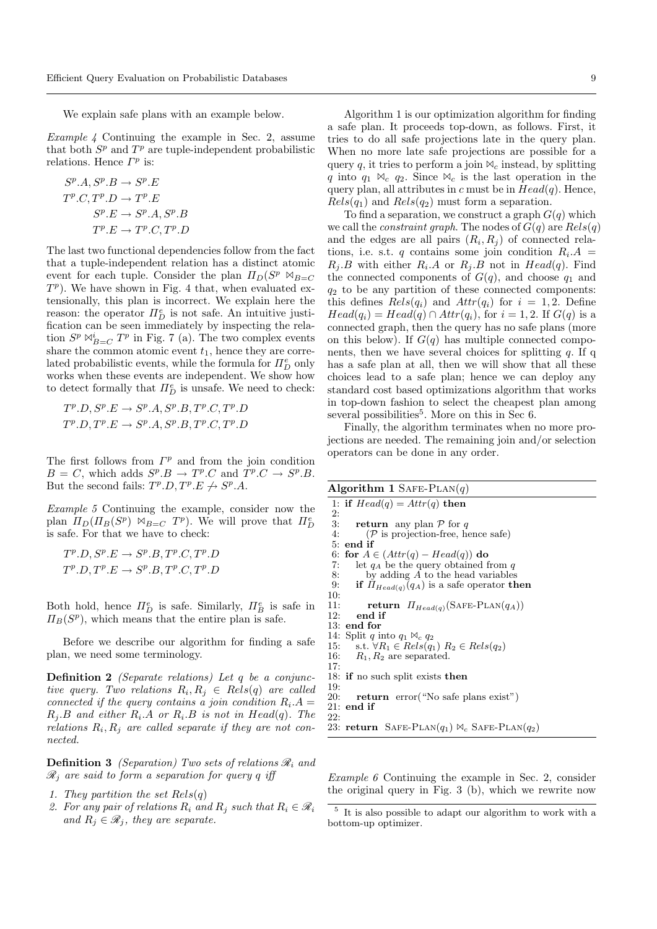We explain safe plans with an example below.

Example 4 Continuing the example in Sec. 2, assume that both  $S^p$  and  $T^p$  are tuple-independent probabilistic relations. Hence  $\Gamma^p$  is:

$$
S^{p}.A, S^{p}.B \rightarrow S^{p}.E
$$
  
\n
$$
T^{p}.C, T^{p}.D \rightarrow T^{p}.E
$$
  
\n
$$
S^{p}.E \rightarrow S^{p}.A, S^{p}.B
$$
  
\n
$$
T^{p}.E \rightarrow T^{p}.C, T^{p}.D
$$

The last two functional dependencies follow from the fact that a tuple-independent relation has a distinct atomic event for each tuple. Consider the plan  $\Pi_D(S^p \bowtie_{B=C}$  $T<sup>p</sup>$ ). We have shown in Fig. 4 that, when evaluated extensionally, this plan is incorrect. We explain here the reason: the operator  $\Pi_D^e$  is not safe. An intuitive justification can be seen immediately by inspecting the relation  $S^p \bowtie_{B=C}^{\mathbf{i}} T^p$  in Fig. 7 (a). The two complex events share the common atomic event  $t_1$ , hence they are correlated probabilistic events, while the formula for  $\Pi_D^e$  only works when these events are independent. We show how to detect formally that  $\Pi^e_D$  is unsafe. We need to check:

 $T^p \cdot D, S^p \cdot E \rightarrow S^p \cdot A, S^p \cdot B, T^p \cdot C, T^p \cdot D$  $T^p \cdot D, T^p \cdot E \rightarrow S^p \cdot A, S^p \cdot B, T^p \cdot C, T^p \cdot D$ 

The first follows from  $\Gamma^p$  and from the join condition  $B = C$ , which adds  $S^p \to T^p \to C$  and  $T^p \to S^p \to B$ . But the second fails:  $T^p \cdot D$ ,  $T^p \cdot E \nrightarrow S^p \cdot A$ .

Example 5 Continuing the example, consider now the plan  $\Pi_D(\Pi_B(S^p) \bowtie_{B=C} T^p)$ . We will prove that  $\Pi_D^e$ is safe. For that we have to check:

 $T^p \cdot D, S^p \cdot E \rightarrow S^p \cdot B, T^p \cdot C, T^p \cdot D$  $T^p \cdot D, T^p \cdot E \rightarrow S^p \cdot B, T^p \cdot C, T^p \cdot D$ 

Both hold, hence  $\Pi_D^e$  is safe. Similarly,  $\Pi_B^e$  is safe in  $\Pi_B(S^p)$ , which means that the entire plan is safe.

Before we describe our algorithm for finding a safe plan, we need some terminology.

Definition 2 (Separate relations) Let q be a conjunctive query. Two relations  $R_i, R_j \in Rels(q)$  are called connected if the query contains a join condition  $R_i.A =$  $R_j.B$  and either  $R_i.A$  or  $R_i.B$  is not in  $Head(q)$ . The relations  $R_i, R_j$  are called separate if they are not connected.

**Definition 3** (Separation) Two sets of relations  $\mathcal{R}_i$  and  $\mathscr{R}_i$  are said to form a separation for query q iff

- 1. They partition the set  $Rels(q)$
- 2. For any pair of relations  $R_i$  and  $R_j$  such that  $R_i \in \mathcal{R}_i$ and  $R_i \in \mathcal{R}_i$ , they are separate.

Algorithm 1 is our optimization algorithm for finding a safe plan. It proceeds top-down, as follows. First, it tries to do all safe projections late in the query plan. When no more late safe projections are possible for a query q, it tries to perform a join  $\mathcal{A}_c$  instead, by splitting q into  $q_1 \Join_c q_2$ . Since  $\Join_c$  is the last operation in the query plan, all attributes in c must be in  $Head(q)$ . Hence,  $Rels(q_1)$  and  $Rels(q_2)$  must form a separation.

To find a separation, we construct a graph  $G(q)$  which we call the *constraint graph*. The nodes of  $G(q)$  are  $Rels(q)$ and the edges are all pairs  $(R_i, R_j)$  of connected relations, i.e. s.t. q contains some join condition  $R_i.A =$  $R_j.B$  with either  $R_i.A$  or  $R_j.B$  not in  $Head(q)$ . Find the connected components of  $G(q)$ , and choose  $q_1$  and  $q_2$  to be any partition of these connected components: this defines  $Rels(q_i)$  and  $Attr(q_i)$  for  $i = 1, 2$ . Define  $Head(q_i) = Head(q) \cap Attr(q_i)$ , for  $i = 1, 2$ . If  $G(q)$  is a connected graph, then the query has no safe plans (more on this below). If  $G(q)$  has multiple connected components, then we have several choices for splitting  $q$ . If q has a safe plan at all, then we will show that all these choices lead to a safe plan; hence we can deploy any standard cost based optimizations algorithm that works in top-down fashion to select the cheapest plan among several possibilities<sup>5</sup>. More on this in Sec 6.

Finally, the algorithm terminates when no more projections are needed. The remaining join and/or selection operators can be done in any order.

| Algorithm 1 SAFE-PLAN $(q)$                                 |
|-------------------------------------------------------------|
| 1: if $Head(q) = Attr(q)$ then                              |
| 2:                                                          |
| 3:<br><b>return</b> any plan $\mathcal{P}$ for q            |
| 4:<br>$(P$ is projection-free, hence safe)                  |
| $5:$ end if                                                 |
| 6: for $A \in (Attr(q) - Head(q))$ do                       |
| let $q_A$ be the query obtained from q<br>7:                |
| 8:<br>by adding $A$ to the head variables                   |
| if $\Pi_{Head(q)}(q_A)$ is a safe operator then<br>9:       |
| 10:                                                         |
| <b>return</b> $\Pi_{Head(q)}(\text{SAFE-PLAN}(q_A))$<br>11: |
| $12:$ end if                                                |
| $13:$ end for                                               |
| 14: Split q into $q_1 \bowtie_c q_2$                        |
| 15: s.t. $\forall R_1 \in Rels(q_1)$ $R_2 \in Rels(q_2)$    |
| 16: $R_1, R_2$ are separated.                               |
| 17:                                                         |
| 18: if no such split exists then                            |
| 19:                                                         |
| <b>return</b> error ("No safe plans exist")<br>20:          |
| $21:$ end if                                                |
| 22:                                                         |
| 23: return SAFE-PLAN $(q_1) \bowtie_c$ SAFE-PLAN $(q_2)$    |
|                                                             |

Example 6 Continuing the example in Sec. 2, consider the original query in Fig. 3 (b), which we rewrite now

<sup>5</sup> It is also possible to adapt our algorithm to work with a bottom-up optimizer.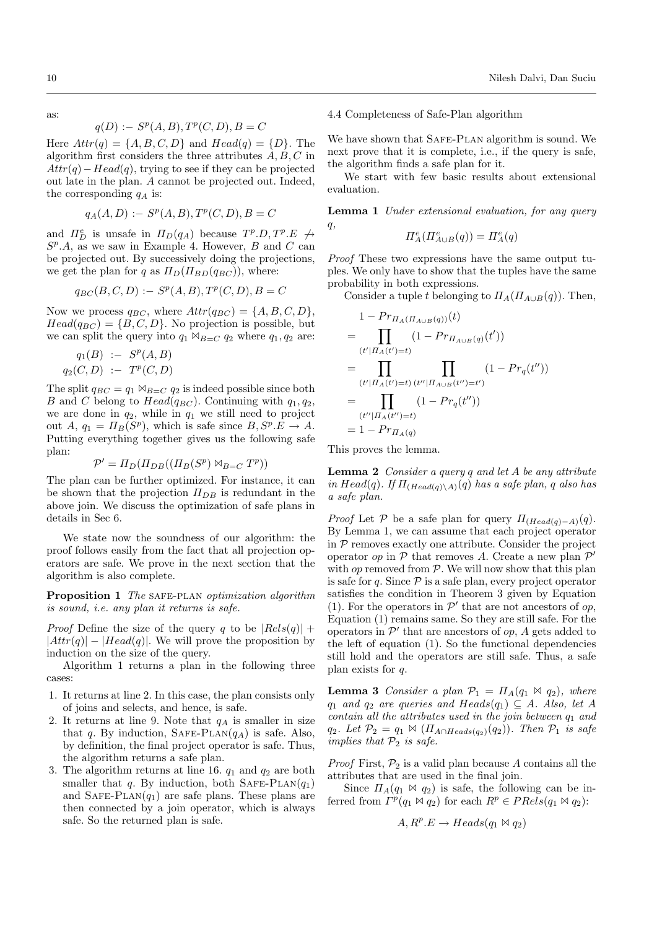as:

$$
q(D) := Sp(A, B), Tp(C, D), B = C
$$

Here  $Attr(q) = \{A, B, C, D\}$  and  $Head(q) = \{D\}$ . The algorithm first considers the three attributes  $A, B, C$  in  $Attr(q) - Head(q)$ , trying to see if they can be projected out late in the plan. A cannot be projected out. Indeed, the corresponding  $q_A$  is:

$$
q_A(A, D) := S^p(A, B), T^p(C, D), B = C
$$

and  $\Pi_D^e$  is unsafe in  $\Pi_D(q_A)$  because  $T^p.D, T^p.E \nrightarrow$  $S<sup>p</sup> A$ , as we saw in Example 4. However, B and C can be projected out. By successively doing the projections, we get the plan for q as  $\Pi_D(\Pi_{BD}(q_{BC}))$ , where:

$$
q_{BC}(B,C,D) := S^p(A,B), T^p(C,D), B = C
$$

Now we process  $q_{BC}$ , where  $Attr(q_{BC}) = \{A, B, C, D\},\$  $Head(q_{BC}) = \{B, C, D\}$ . No projection is possible, but we can split the query into  $q_1 \Join_{B=C} q_2$  where  $q_1, q_2$  are:

$$
q_1(B) := S^p(A, B)
$$
  

$$
q_2(C, D) := T^p(C, D)
$$

The split  $q_{BC} = q_1 \boxtimes_{B=C} q_2$  is indeed possible since both B and C belong to  $Head(q_{BC})$ . Continuing with  $q_1, q_2$ , we are done in  $q_2$ , while in  $q_1$  we still need to project out A,  $q_1 = \Pi_B(S^p)$ , which is safe since  $B, S^p.E \to A$ . Putting everything together gives us the following safe plan:

$$
\mathcal{P}' = \Pi_D(\Pi_{DB}((\Pi_B(S^p) \bowtie_{B=C} T^p))
$$

The plan can be further optimized. For instance, it can be shown that the projection  $\Pi_{DB}$  is redundant in the above join. We discuss the optimization of safe plans in details in Sec 6.

We state now the soundness of our algorithm: the proof follows easily from the fact that all projection operators are safe. We prove in the next section that the algorithm is also complete.

Proposition 1 The SAFE-PLAN optimization algorithm is sound, i.e. any plan it returns is safe.

*Proof* Define the size of the query q to be  $|Rels(q)| +$  $|Attr(q)| - |Head(q)|$ . We will prove the proposition by induction on the size of the query.

Algorithm 1 returns a plan in the following three cases:

- 1. It returns at line 2. In this case, the plan consists only of joins and selects, and hence, is safe.
- 2. It returns at line 9. Note that  $q_A$  is smaller in size that q. By induction,  $S$ AFE-PLAN $(q_A)$  is safe. Also, by definition, the final project operator is safe. Thus, the algorithm returns a safe plan.
- 3. The algorithm returns at line 16.  $q_1$  and  $q_2$  are both smaller that q. By induction, both  $SAFE-PLAN(q_1)$ and  $S$ AFE-PLAN $(q_1)$  are safe plans. These plans are then connected by a join operator, which is always safe. So the returned plan is safe.

4.4 Completeness of Safe-Plan algorithm

We have shown that SAFE-PLAN algorithm is sound. We next prove that it is complete, i.e., if the query is safe, the algorithm finds a safe plan for it.

We start with few basic results about extensional evaluation.

Lemma 1 Under extensional evaluation, for any query  $q,$ 

$$
\Pi^e_A(\Pi^e_{A\cup B}(q))=\Pi^e_A(q)
$$

Proof These two expressions have the same output tuples. We only have to show that the tuples have the same probability in both expressions.

Consider a tuple t belonging to  $\Pi_A(\Pi_{A\cup B}(q))$ . Then,

$$
1 - Pr_{\Pi_A(\Pi_{A\cup B}(q))}(t)
$$
  
= 
$$
\prod_{(t'| \Pi_A(t') = t)} (1 - Pr_{\Pi_{A\cup B}(q)}(t'))
$$
  
= 
$$
\prod_{(t'| \Pi_A(t') = t)} \prod_{(t''| \Pi_{A\cup B}(t'') = t')} (1 - Pr_q(t''))
$$
  
= 
$$
\prod_{(t''| \Pi_A(t'') = t)} (1 - Pr_q(t''))
$$
  
= 
$$
1 - Pr_{\Pi_A(q)}
$$

This proves the lemma.

**Lemma 2** Consider a query q and let  $A$  be any attribute in  $Head(q)$ . If  $\Pi_{(Head(q)\setminus A)}(q)$  has a safe plan, q also has a safe plan.

*Proof* Let P be a safe plan for query  $\Pi_{(Head(q)-A)}(q)$ . By Lemma 1, we can assume that each project operator in  $P$  removes exactly one attribute. Consider the project operator op in  $P$  that removes A. Create a new plan  $P'$ with *op* removed from  $P$ . We will now show that this plan is safe for q. Since  $P$  is a safe plan, every project operator satisfies the condition in Theorem 3 given by Equation (1). For the operators in  $\mathcal{P}'$  that are not ancestors of op, Equation (1) remains same. So they are still safe. For the operators in  $\mathcal{P}'$  that are ancestors of op, A gets added to the left of equation (1). So the functional dependencies still hold and the operators are still safe. Thus, a safe plan exists for q.

**Lemma 3** Consider a plan  $\mathcal{P}_1 = \Pi_A(q_1 \bowtie q_2)$ , where  $q_1$  and  $q_2$  are queries and Heads $(q_1) \subseteq A$ . Also, let A contain all the attributes used in the join between  $q_1$  and  $q_2$ . Let  $\mathcal{P}_2 = q_1 \Join (\Pi_{A \cap Heads(q_2)}(q_2))$ . Then  $\mathcal{P}_1$  is safe implies that  $\mathcal{P}_2$  is safe.

*Proof* First,  $P_2$  is a valid plan because A contains all the attributes that are used in the final join.

Since  $\Pi_A(q_1 \bowtie q_2)$  is safe, the following can be inferred from  $\Gamma^p(q_1 \boxtimes q_2)$  for each  $R^p \in PRels(q_1 \boxtimes q_2)$ :

$$
A, R^p.E \to \text{Heads}(q_1 \bowtie q_2)
$$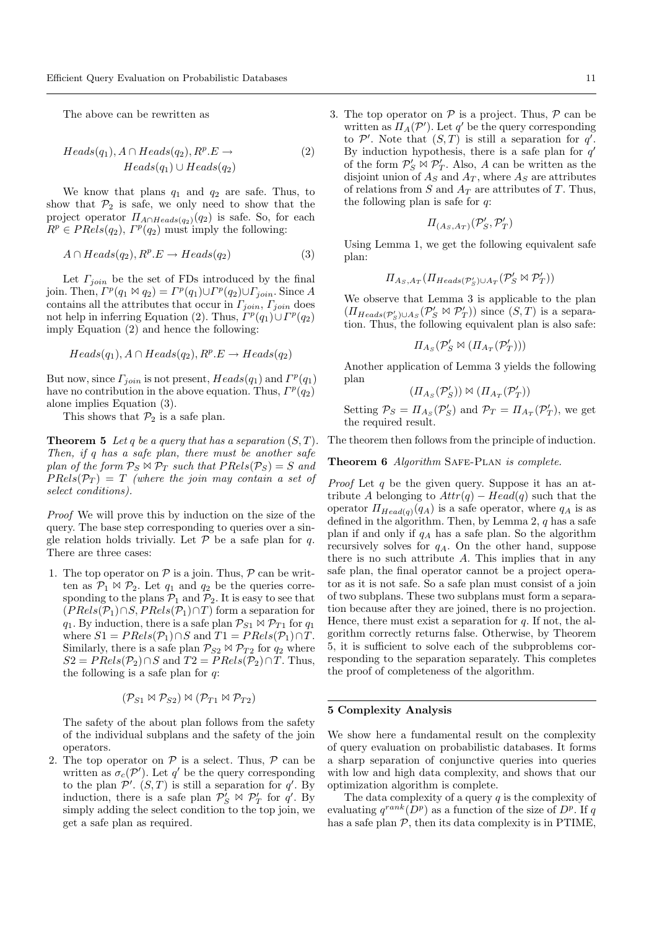The above can be rewritten as

$$
Heads(q_1), A \cap Heads(q_2), R^p.E \to
$$
  
\n
$$
Heads(q_1) \cup Heads(q_2)
$$
\n(2)

We know that plans  $q_1$  and  $q_2$  are safe. Thus, to show that  $P_2$  is safe, we only need to show that the project operator  $\Pi_{A \cap Heads(q_2)}(q_2)$  is safe. So, for each  $R^p \in PRels(q_2), \Gamma^p(q_2)$  must imply the following:

$$
A \cap \text{Heads}(q_2), R^p.E \to \text{Heads}(q_2) \tag{3}
$$

Let  $\Gamma_{join}$  be the set of FDs introduced by the final join. Then,  $\Gamma^p(q_1 \boxtimes q_2) = \Gamma^p(q_1) \cup \Gamma^p(q_2) \cup \Gamma_{join}$ . Since A contains all the attributes that occur in  $\Gamma_{join}, \Gamma_{join}$  does not help in inferring Equation (2). Thus,  $\overline{\Gamma^p(q_1)} \cup \Gamma^p(q_2)$ imply Equation (2) and hence the following:

$$
Heads(q_1), A \cap Heads(q_2), R^p.E \to Heads(q_2)
$$

But now, since  $\Gamma_{join}$  is not present,  $Heads(q_1)$  and  $\Gamma^p(q_1)$ have no contribution in the above equation. Thus,  $\Gamma^p(q_2)$ alone implies Equation (3).

This shows that  $\mathcal{P}_2$  is a safe plan.

**Theorem 5** Let q be a query that has a separation  $(S, T)$ . Then, if q has a safe plan, there must be another safe plan of the form  $P_S \bowtie P_T$  such that  $PRels(P_S) = S$  and  $PRels(\mathcal{P}_T) = T$  (where the join may contain a set of select conditions).

Proof We will prove this by induction on the size of the query. The base step corresponding to queries over a single relation holds trivially. Let  $P$  be a safe plan for q. There are three cases:

1. The top operator on  $P$  is a join. Thus,  $P$  can be written as  $\mathcal{P}_1 \bowtie \mathcal{P}_2$ . Let  $q_1$  and  $q_2$  be the queries corresponding to the plans  $\mathcal{P}_1$  and  $\mathcal{P}_2$ . It is easy to see that  $(PRels(\mathcal{P}_1) \cap S, PRels(\mathcal{P}_1) \cap T)$  form a separation for  $q_1$ . By induction, there is a safe plan  $\mathcal{P}_{S1} \bowtie \mathcal{P}_{T1}$  for  $q_1$ where  $S1 = PRels(\mathcal{P}_1) \cap S$  and  $T1 = PRels(\mathcal{P}_1) \cap T$ . Similarly, there is a safe plan  $\mathcal{P}_{S2} \bowtie \mathcal{P}_{T2}$  for  $q_2$  where  $S2 = PRels(\mathcal{P}_2) \cap S$  and  $T2 = PRels(\mathcal{P}_2) \cap T$ . Thus, the following is a safe plan for  $q$ :

$$
(\mathcal{P}_{S1} \bowtie \mathcal{P}_{S2}) \bowtie (\mathcal{P}_{T1} \bowtie \mathcal{P}_{T2})
$$

The safety of the about plan follows from the safety of the individual subplans and the safety of the join operators.

2. The top operator on  $P$  is a select. Thus,  $P$  can be written as  $\sigma_c(\mathcal{P}')$ . Let q' be the query corresponding to the plan  $\mathcal{P}'$ .  $(S, T)$  is still a separation for q'. By induction, there is a safe plan  $\mathcal{P}_S^{\prime} \bowtie \mathcal{P}_T^{\prime}$  for q'. By simply adding the select condition to the top join, we get a safe plan as required.

3. The top operator on  $P$  is a project. Thus,  $P$  can be written as  $\Pi_A(\mathcal{P}')$ . Let q' be the query corresponding to  $\mathcal{P}'$ . Note that  $(S,T)$  is still a separation for q'. By induction hypothesis, there is a safe plan for  $q'$ of the form  $\mathcal{P}'_S \bowtie \mathcal{P}'_T$ . Also, A can be written as the disjoint union of  $A_S$  and  $A_T$ , where  $A_S$  are attributes of relations from S and  $A_T$  are attributes of T. Thus, the following plan is safe for  $q$ :

$$
\Pi_{(A_S, A_T)}(\mathcal{P}'_S, \mathcal{P}'_T)
$$

Using Lemma 1, we get the following equivalent safe plan:

$$
\Pi_{A_S,A_T}(\Pi_{Heads(\mathcal{P}'_S)\cup A_T}(\mathcal{P}'_S\bowtie \mathcal{P}'_T))
$$

We observe that Lemma 3 is applicable to the plan  $(\Pi_{Heads(\mathcal{P}'_S)\cup A_S}(\mathcal{P}'_S \bowtie \mathcal{P}'_T))$  since  $(S,T)$  is a separation. Thus, the following equivalent plan is also safe:

$$
\varPi_{A_S}(\mathcal{P}'_S \bowtie (\varPi_{A_T}(\mathcal{P}'_T)))
$$

Another application of Lemma 3 yields the following plan

$$
(\Pi_{A_S}(\mathcal{P}'_S)) \bowtie (\Pi_{A_T}(\mathcal{P}'_T))
$$

Setting  $P_S = \Pi_{As}(\mathcal{P}'_S)$  and  $\mathcal{P}_T = \Pi_{Ar}(\mathcal{P}'_T)$ , we get the required result.

The theorem then follows from the principle of induction.

Theorem 6 Algorithm SAFE-PLAN is complete.

*Proof* Let  $q$  be the given query. Suppose it has an attribute A belonging to  $Attr(q) - Head(q)$  such that the operator  $\Pi_{Head(q)}(q_A)$  is a safe operator, where  $q_A$  is as defined in the algorithm. Then, by Lemma 2,  $q$  has a safe plan if and only if  $q_A$  has a safe plan. So the algorithm recursively solves for  $q_A$ . On the other hand, suppose there is no such attribute A. This implies that in any safe plan, the final operator cannot be a project operator as it is not safe. So a safe plan must consist of a join of two subplans. These two subplans must form a separation because after they are joined, there is no projection. Hence, there must exist a separation for  $q$ . If not, the algorithm correctly returns false. Otherwise, by Theorem 5, it is sufficient to solve each of the subproblems corresponding to the separation separately. This completes the proof of completeness of the algorithm.

#### 5 Complexity Analysis

We show here a fundamental result on the complexity of query evaluation on probabilistic databases. It forms a sharp separation of conjunctive queries into queries with low and high data complexity, and shows that our optimization algorithm is complete.

The data complexity of a query  $q$  is the complexity of evaluating  $q^{rank}(D^p)$  as a function of the size of  $D^p$ . If q has a safe plan  $P$ , then its data complexity is in PTIME,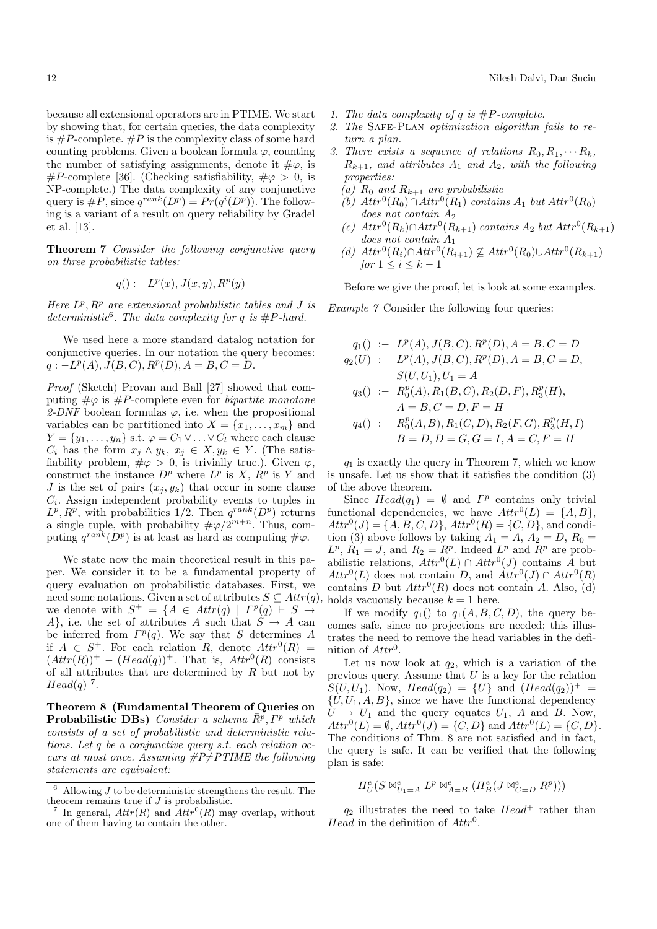because all extensional operators are in PTIME. We start by showing that, for certain queries, the data complexity is  $\#P$ -complete.  $\#P$  is the complexity class of some hard counting problems. Given a boolean formula  $\varphi$ , counting the number of satisfying assignments, denote it  $\#\varphi$ , is #P-complete [36]. (Checking satisfiability,  $\#\varphi > 0$ , is NP-complete.) The data complexity of any conjunctive query is  $\#P$ , since  $q^{rank}(D^p) = Pr(q^i(D^p))$ . The following is a variant of a result on query reliability by Gradel et al. [13].

Theorem 7 Consider the following conjunctive query on three probabilistic tables:

$$
q(): -L^p(x), J(x, y), R^p(y)
$$

Here  $L^p$ ,  $R^p$  are extensional probabilistic tables and J is deterministic<sup>6</sup>. The data complexity for q is  $#P$ -hard.

We used here a more standard datalog notation for conjunctive queries. In our notation the query becomes:  $q: -L^p(A), J(B, C), R^p(D), A = B, C = D.$ 

Proof (Sketch) Provan and Ball [27] showed that computing  $\#\varphi$  is  $\#P$ -complete even for *bipartite monotone* 2-DNF boolean formulas  $\varphi$ , i.e. when the propositional variables can be partitioned into  $X = \{x_1, \ldots, x_m\}$  and  $Y = \{y_1, \ldots, y_n\}$  s.t.  $\varphi = C_1 \vee \ldots \vee C_l$  where each clause  $C_i$  has the form  $x_j \wedge y_k, x_j \in X, y_k \in Y$ . (The satisfiability problem,  $\#\varphi > 0$ , is trivially true.). Given  $\varphi$ , construct the instance  $D^p$  where  $L^p$  is X,  $R^p$  is Y and J is the set of pairs  $(x_j, y_k)$  that occur in some clause  $C_i$ . Assign independent probability events to tuples in  $L^p, R^p$ , with probabilities 1/2. Then  $q^{rank}(D^p)$  returns a single tuple, with probability  $\#\varphi/2^{m+n}$ . Thus, computing  $q^{rank}(D^p)$  is at least as hard as computing  $\#\varphi$ .

We state now the main theoretical result in this paper. We consider it to be a fundamental property of query evaluation on probabilistic databases. First, we need some notations. Given a set of attributes  $S \subseteq \text{Attr}(q)$ , we denote with  $S^+ = \{A \in \text{Attr}(q) \mid \Gamma^p(q) \vdash S \rightarrow$ A}, i.e. the set of attributes A such that  $S \to A$  can be inferred from  $\Gamma^p(q)$ . We say that S determines A if  $A \in S^+$ . For each relation R, denote  $Attr^0(R) =$  $(Atr(R))$ <sup>+</sup> –  $(Head(q))$ <sup>+</sup>. That is,  $Attr^0(R)$  consists of all attributes that are determined by  $R$  but not by  $Head(q)$ <sup>7</sup>.

Theorem 8 (Fundamental Theorem of Queries on **Probabilistic DBs**) Consider a schema  $\overline{R}^p$ ,  $\Gamma^p$  which consists of a set of probabilistic and deterministic relations. Let q be a conjunctive query s.t. each relation occurs at most once. Assuming  $\#P\neq PTIME$  the following statements are equivalent:

- 1. The data complexity of q is  $#P$ -complete.
- 2. The SAFE-PLAN optimization algorithm fails to return a plan.
- 3. There exists a sequence of relations  $R_0, R_1, \cdots R_k$ ,  $R_{k+1}$ , and attributes  $A_1$  and  $A_2$ , with the following properties:
	- (a)  $R_0$  and  $R_{k+1}$  are probabilistic
	- (b)  $Attr^0(R_0) \cap Attr^0(R_1)$  contains  $A_1$  but  $Attr^0(R_0)$  $does not contain A<sub>2</sub>$
	- (c)  $Attr^0(R_k) ∩Attr^0(R_{k+1})$  contains  $A_2$  but  $Attr^0(R_{k+1})$ does not contain A<sup>1</sup>
	- (d)  $Attr^0(R_i) \cap Attr^0(R_{i+1}) \nsubseteq Attr^0(R_0) \cup Attr^0(R_{k+1})$ for  $1 \leq i \leq k-1$

Before we give the proof, let is look at some examples.

Example 7 Consider the following four queries:

$$
q_1() := L^p(A), J(B, C), R^p(D), A = B, C = D
$$
  
\n
$$
q_2(U) := L^p(A), J(B, C), R^p(D), A = B, C = D,
$$
  
\n
$$
S(U, U_1), U_1 = A
$$
  
\n
$$
q_3() := R_0^p(A), R_1(B, C), R_2(D, F), R_3^p(H),
$$
  
\n
$$
A = B, C = D, F = H
$$
  
\n
$$
q_4() := R_0^p(A, B), R_1(C, D), R_2(F, G), R_3^p(H, I)
$$
  
\n
$$
B = D, D = G, G = I, A = C, F = H
$$

 $q_1$  is exactly the query in Theorem 7, which we know is unsafe. Let us show that it satisfies the condition (3) of the above theorem.

Since  $Head(q_1) = \emptyset$  and  $\Gamma^p$  contains only trivial functional dependencies, we have  $Attr^0(L) = \{A, B\},\$  $Attr^0(J) = \{A, B, C, D\},$   $Attr^0(R) = \{C, D\},$  and condition (3) above follows by taking  $A_1 = A$ ,  $A_2 = D$ ,  $R_0 =$  $L^p$ ,  $R_1 = J$ , and  $R_2 = R^p$ . Indeed  $L^p$  and  $R^p$  are probabilistic relations,  $Attr^0(L) \cap Attr^0(J)$  contains A but  $Attr^0(L)$  does not contain D, and  $Attr^0(J) \cap Attr^0(R)$ contains D but  $Attr^0(R)$  does not contain A. Also, (d) holds vacuously because  $k = 1$  here.

If we modify  $q_1()$  to  $q_1(A, B, C, D)$ , the query becomes safe, since no projections are needed; this illustrates the need to remove the head variables in the definition of  $Attr^0$ .

Let us now look at  $q_2$ , which is a variation of the previous query. Assume that  $U$  is a key for the relation  $S(U, U_1)$ . Now,  $Head(q_2) = \{U\}$  and  $(Head(q_2))^+ =$  $\{U, U_1, A, B\}$ , since we have the functional dependency  $U \rightarrow U_1$  and the query equates  $U_1$ , A and B. Now,  $Attr^0(L) = \emptyset, Attr^0(J) = \{C, D\}$  and  $Attr^0(L) = \{C, D\}.$ The conditions of Thm. 8 are not satisfied and in fact, the query is safe. It can be verified that the following plan is safe:

$$
\varPi^\mathsf{e}_U(S \bowtie^\mathsf{e}_{U_1 = A} L^p \bowtie^\mathsf{e}_{A = B} (\varPi^\mathsf{e}_B(J \bowtie^\mathsf{e}_{C = D} R^p)))
$$

 $q_2$  illustrates the need to take  $Head^+$  rather than Head in the definition of  $Attr^0$ .

 $6$  Allowing J to be deterministic strengthens the result. The theorem remains true if  $J$  is probabilistic.

<sup>7</sup> In general,  $Attr(R)$  and  $Attr^0(R)$  may overlap, without one of them having to contain the other.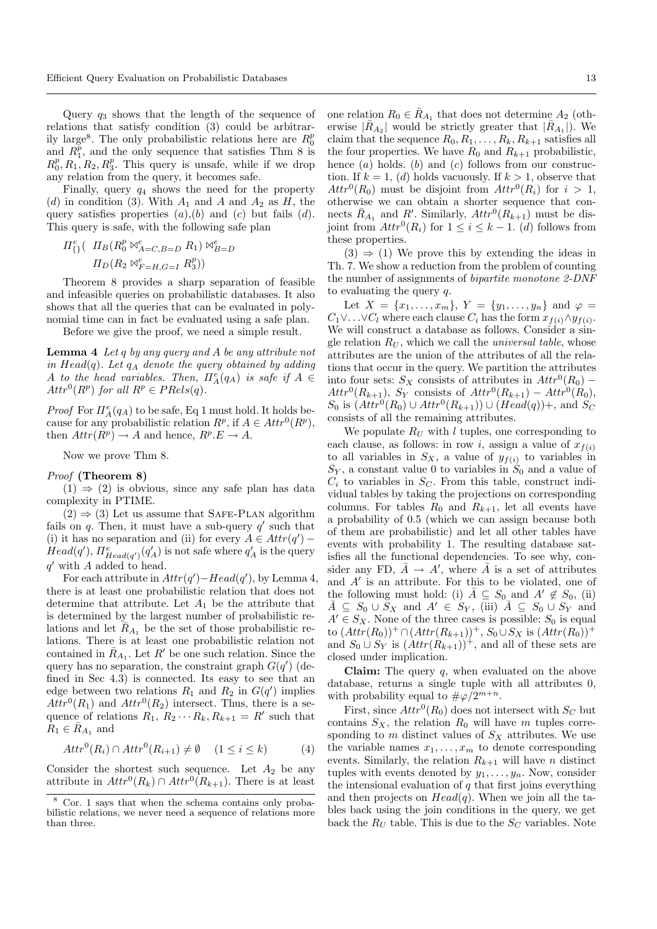Query  $q_3$  shows that the length of the sequence of relations that satisfy condition (3) could be arbitrarily large<sup>8</sup>. The only probabilistic relations here are  $R_0^p$ and  $R_1^p$ , and the only sequence that satisfies Thm 8 is  $R_0^p, R_1, R_2, R_3^p$ . This query is unsafe, while if we drop any relation from the query, it becomes safe.

Finally, query  $q_4$  shows the need for the property (d) in condition (3). With  $A_1$  and  $A_2$  and  $A_2$  as  $H$ , the query satisfies properties  $(a)$ , $(b)$  and  $(c)$  but fails  $(d)$ . This query is safe, with the following safe plan

$$
\Pi_{\{ \}}^e \left( \begin{array}{c} \Pi_B(R_0^p \bowtie_{A=C,B=D}^e R_1) \bowtie_{B=D}^e \\ \Pi_D(R_2 \bowtie_{F=H,G=I}^e R_3^p) \end{array} \right)
$$

Theorem 8 provides a sharp separation of feasible and infeasible queries on probabilistic databases. It also shows that all the queries that can be evaluated in polynomial time can in fact be evaluated using a safe plan.

Before we give the proof, we need a simple result.

Lemma 4 Let q by any query and A be any attribute not in  $Head(q)$ . Let  $q_A$  denote the query obtained by adding A to the head variables. Then,  $\Pi^e_A(q_A)$  is safe if  $A \in$  $Attr^0(R^p)$  for all  $R^p \in PRels(q)$ .

*Proof* For  $\Pi_A^e(q_A)$  to be safe, Eq 1 must hold. It holds because for any probabilistic relation  $R^p$ , if  $A \in \text{Attr}^0(R^p)$ , then  $Attr(R^p) \rightarrow A$  and hence,  $R^p.E \rightarrow A$ .

Now we prove Thm 8.

## Proof (Theorem 8)

 $(1) \Rightarrow (2)$  is obvious, since any safe plan has data complexity in PTIME.

 $(2) \Rightarrow (3)$  Let us assume that SAFE-PLAN algorithm fails on  $q$ . Then, it must have a sub-query  $q'$  such that (i) it has no separation and (ii) for every  $A \in \text{Attr}(q')$  –  $Head(q'), \Pi_{Head(q')}^e(q'_A)$  is not safe where  $q'_A$  is the query  $q'$  with A added to head.

For each attribute in  $Attr(q') - Head(q')$ , by Lemma 4, there is at least one probabilistic relation that does not determine that attribute. Let  $A_1$  be the attribute that is determined by the largest number of probabilistic relations and let  $\bar{R}_{A_1}$  be the set of those probabilistic relations. There is at least one probabilistic relation not contained in  $\overline{R}_{A_1}$ . Let  $R'$  be one such relation. Since the query has no separation, the constraint graph  $G(q')$  (defined in Sec 4.3) is connected. Its easy to see that an edge between two relations  $R_1$  and  $R_2$  in  $G(q')$  implies  $Attr^0(R_1)$  and  $Attr^0(R_2)$  intersect. Thus, there is a sequence of relations  $R_1, R_2 \cdots R_k, R_{k+1} = R'$  such that  $R_1 \in \overline{R}_{A_1}$  and

$$
Attr^0(R_i) \cap Attr^0(R_{i+1}) \neq \emptyset \quad (1 \le i \le k)
$$
 (4)

Consider the shortest such sequence. Let  $A_2$  be any attribute in  $Attr^0(R_k) \cap Attr^0(R_{k+1})$ . There is at least

one relation  $R_0 \in \overline{R}_{A_1}$  that does not determine  $A_2$  (otherwise  $|\bar{R}_{A_2}|$  would be strictly greater that  $|\bar{R}_{A_1}|$ ). We claim that the sequence  $R_0, R_1, \ldots, R_k, R_{k+1}$  satisfies all the four properties. We have  $R_0$  and  $R_{k+1}$  probabilistic, hence  $(a)$  holds.  $(b)$  and  $(c)$  follows from our construction. If  $k = 1$ , (d) holds vacuously. If  $k > 1$ , observe that  $Attr^0(R_0)$  must be disjoint from  $Attr^0(R_i)$  for  $i > 1$ , otherwise we can obtain a shorter sequence that connects  $\overline{R}_{A_1}$  and  $R'$ . Similarly,  $Attr^0(R_{k+1})$  must be disjoint from  $Attr^0(R_i)$  for  $1 \leq i \leq k-1$ . (d) follows from these properties.

 $(3) \Rightarrow (1)$  We prove this by extending the ideas in Th. 7. We show a reduction from the problem of counting the number of assignments of bipartite monotone 2-DNF to evaluating the query q.

Let  $X = \{x_1, \ldots, x_m\}, Y = \{y_1, \ldots, y_n\}$  and  $\varphi =$  $C_1 \vee \ldots \vee C_l$  where each clause  $C_i$  has the form  $x_{f(i)} \wedge y_{f(i)}$ . We will construct a database as follows. Consider a single relation  $R_U$ , which we call the *universal table*, whose attributes are the union of the attributes of all the relations that occur in the query. We partition the attributes into four sets:  $S_X$  consists of attributes in  $Attr^0(R_0)$  –  $Attr^0(R_{k+1}), S_Y$  consists of  $Attr^0(R_{k+1}) -Attr^0(R_0),$  $S_0$  is  $(Attr^0(R_0) \cup Attr^0(R_{k+1})) \cup (Head(q)) +$ , and  $S_C$ consists of all the remaining attributes.

We populate  $R_U$  with l tuples, one corresponding to each clause, as follows: in row i, assign a value of  $x_{f(i)}$ to all variables in  $S_X$ , a value of  $y_{f(i)}$  to variables in  $S_Y$ , a constant value 0 to variables in  $S_0$  and a value of  $C_i$  to variables in  $S_C$ . From this table, construct individual tables by taking the projections on corresponding columns. For tables  $R_0$  and  $R_{k+1}$ , let all events have a probability of 0.5 (which we can assign because both of them are probabilistic) and let all other tables have events with probability 1. The resulting database satisfies all the functional dependencies. To see why, consider any FD,  $\bar{A} \rightarrow A'$ , where  $\bar{A}$  is a set of attributes and  $A'$  is an attribute. For this to be violated, one of the following must hold: (i)  $\overline{A} \subseteq S_0$  and  $A' \notin S_0$ , (ii)  $\overline{A} \subseteq S_0 \cup S_X$  and  $A' \in S_Y$ , (iii)  $\overline{A} \subseteq S_0 \cup S_Y$  and  $A' \in S_X$ . None of the three cases is possible:  $S_0$  is equal to  $(Attr(R_0))^+ ∩ (Attr(R_{k+1}))^+, S_0 ∪ S_X$  is  $(Attr(R_0))^+$ and  $S_0 \cup S_Y$  is  $(Attr(R_{k+1}))^+$ , and all of these sets are closed under implication.

**Claim:** The query  $q$ , when evaluated on the above database, returns a single tuple with all attributes 0, with probability equal to  $\#\varphi/2^{m+n}$ .

First, since  $Attr^0(R_0)$  does not intersect with  $S_C$  but contains  $S_X$ , the relation  $R_0$  will have m tuples corresponding to m distinct values of  $S_X$  attributes. We use the variable names  $x_1, \ldots, x_m$  to denote corresponding events. Similarly, the relation  $R_{k+1}$  will have n distinct tuples with events denoted by  $y_1, \ldots, y_n$ . Now, consider the intensional evaluation of  $q$  that first joins everything and then projects on  $Head(q)$ . When we join all the tables back using the join conditions in the query, we get back the  $R_U$  table. This is due to the  $S_C$  variables. Note

<sup>8</sup> Cor. 1 says that when the schema contains only probabilistic relations, we never need a sequence of relations more than three.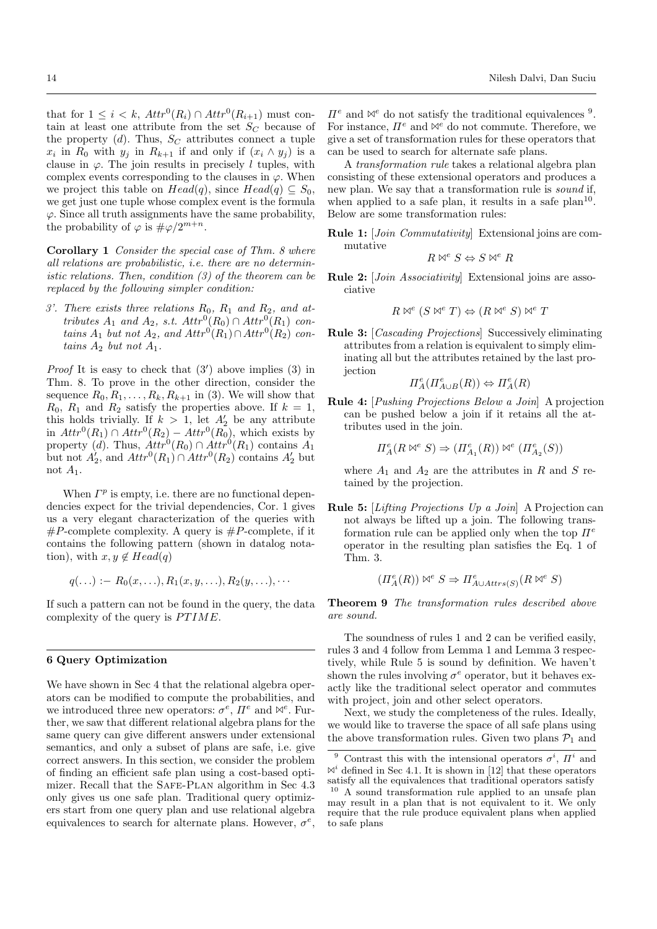that for  $1 \leq i \leq k$ ,  $Attr^0(R_i) \cap Attr^0(R_{i+1})$  must contain at least one attribute from the set  $S_C$  because of the property  $(d)$ . Thus,  $S_C$  attributes connect a tuple  $x_i$  in  $R_0$  with  $y_j$  in  $R_{k+1}$  if and only if  $(x_i \wedge y_j)$  is a clause in  $\varphi$ . The join results in precisely l tuples, with complex events corresponding to the clauses in  $\varphi$ . When we project this table on  $Head(q)$ , since  $Head(q) \subseteq S_0$ , we get just one tuple whose complex event is the formula  $\varphi$ . Since all truth assignments have the same probability, the probability of  $\varphi$  is  $\#\varphi/2^{m+n}$ .

Corollary 1 Consider the special case of Thm. 8 where all relations are probabilistic, i.e. there are no deterministic relations. Then, condition (3) of the theorem can be replaced by the following simpler condition:

3'. There exists three relations  $R_0$ ,  $R_1$  and  $R_2$ , and attributes  $A_1$  and  $A_2$ , s.t.  $Attr^0(R_0) \cap Attr^0(R_1)$  contains  $A_1$  but not  $A_2$ , and  $Attr^0(R_1) \cap Attr^0(R_2)$  contains  $A_2$  but not  $A_1$ .

*Proof* It is easy to check that  $(3')$  above implies  $(3)$  in Thm. 8. To prove in the other direction, consider the sequence  $R_0, R_1, \ldots, R_k, R_{k+1}$  in (3). We will show that  $R_0$ ,  $R_1$  and  $R_2$  satisfy the properties above. If  $k = 1$ , this holds trivially. If  $k > 1$ , let  $A'_2$  be any attribute in  $Attr^0(R_1) \cap Attr^0(R_2) -Attr^0(R_0)$ , which exists by property (d). Thus,  $Attr^0(R_0) \cap Attr^0(R_1)$  contains  $A_1$ but not  $A'_2$ , and  $Attr^0(R_1) \cap Attr^0(R_2)$  contains  $A'_2$  but not  $A_1$ .

When  $\Gamma^p$  is empty, i.e. there are no functional dependencies expect for the trivial dependencies, Cor. 1 gives us a very elegant characterization of the queries with  $\#P$ -complete complexity. A query is  $\#P$ -complete, if it contains the following pattern (shown in datalog notation), with  $x, y \notin Head(q)$ 

$$
q(\ldots) := R_0(x,\ldots), R_1(x,y,\ldots), R_2(y,\ldots),\cdots
$$

If such a pattern can not be found in the query, the data complexity of the query is  $PTIME$ .

## 6 Query Optimization

We have shown in Sec 4 that the relational algebra operators can be modified to compute the probabilities, and we introduced three new operators:  $\sigma^e$ ,  $\Pi^e$  and  $\mathbb{N}^e$ . Further, we saw that different relational algebra plans for the same query can give different answers under extensional semantics, and only a subset of plans are safe, i.e. give correct answers. In this section, we consider the problem of finding an efficient safe plan using a cost-based optimizer. Recall that the SAFE-PLAN algorithm in Sec 4.3 only gives us one safe plan. Traditional query optimizers start from one query plan and use relational algebra equivalences to search for alternate plans. However,  $\sigma^e$ ,

 $\Pi^e$  and  $\mathbb{N}^e$  do not satisfy the traditional equivalences <sup>9</sup>. For instance,  $\Pi^e$  and  $\mathbb{N}^e$  do not commute. Therefore, we give a set of transformation rules for these operators that can be used to search for alternate safe plans.

A transformation rule takes a relational algebra plan consisting of these extensional operators and produces a new plan. We say that a transformation rule is *sound* if, when applied to a safe plan, it results in a safe plan<sup>10</sup>. Below are some transformation rules:

Rule 1: [Join Commutativity] Extensional joins are commutative

$$
R \bowtie^e S \Leftrightarrow S \bowtie^e R
$$

Rule 2: [Join Associativity] Extensional joins are associative

$$
R \bowtie^e (S \bowtie^e T) \Leftrightarrow (R \bowtie^e S) \bowtie^e T
$$

Rule 3: [Cascading Projections] Successively eliminating attributes from a relation is equivalent to simply eliminating all but the attributes retained by the last projection

$$
\Pi^e_A(\Pi^e_{A\cup B}(R))\Leftrightarrow \Pi^e_A(R)
$$

Rule 4: [Pushing Projections Below a Join] A projection can be pushed below a join if it retains all the attributes used in the join.

$$
\varPi_A^e(R\bowtie^e S)\Rightarrow (\varPi_{A_1}^e(R))\bowtie^e(\varPi_{A_2}^e(S))
$$

where  $A_1$  and  $A_2$  are the attributes in R and S retained by the projection.

Rule 5: [Lifting Projections Up a Join] A Projection can not always be lifted up a join. The following transformation rule can be applied only when the top  $\Pi^e$ operator in the resulting plan satisfies the Eq. 1 of Thm. 3.

$$
(\Pi_A^e(R)) \bowtie^e S \Rightarrow \Pi_{A\cup Attrs(S)}^e(R\bowtie^e S)
$$

Theorem 9 The transformation rules described above are sound.

The soundness of rules 1 and 2 can be verified easily, rules 3 and 4 follow from Lemma 1 and Lemma 3 respectively, while Rule 5 is sound by definition. We haven't shown the rules involving  $\sigma^e$  operator, but it behaves exactly like the traditional select operator and commutes with project, join and other select operators.

Next, we study the completeness of the rules. Ideally, we would like to traverse the space of all safe plans using the above transformation rules. Given two plans  $\mathcal{P}_1$  and

<sup>&</sup>lt;sup>9</sup> Contrast this with the intensional operators  $\sigma^i$ ,  $\Pi^i$  and  $\mathbb{N}^{i}$  defined in Sec 4.1. It is shown in [12] that these operators satisfy all the equivalences that traditional operators satisfy <sup>10</sup> A sound transformation rule applied to an unsafe plan may result in a plan that is not equivalent to it. We only require that the rule produce equivalent plans when applied to safe plans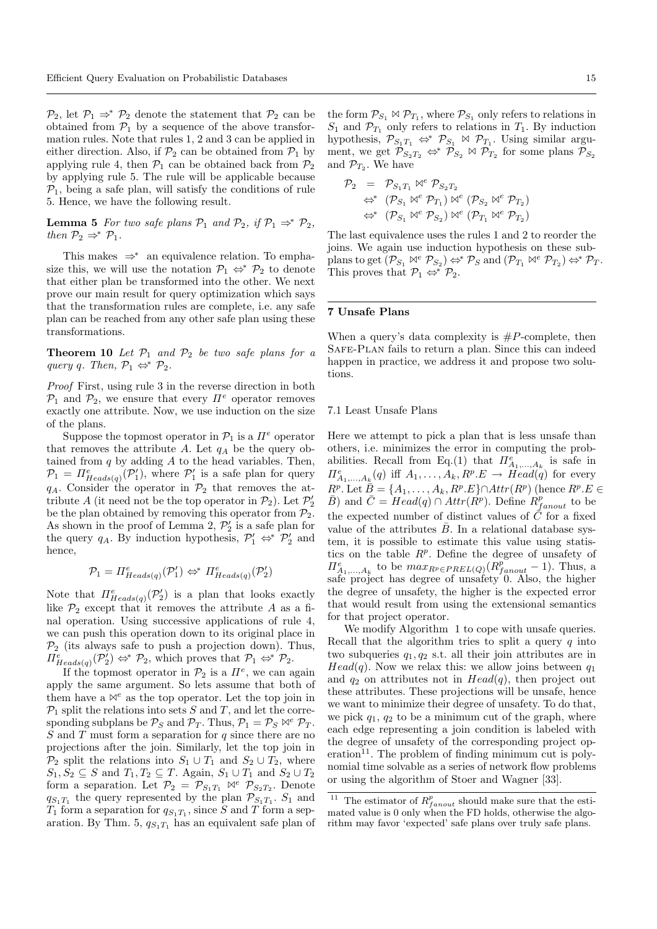$\mathcal{P}_2$ , let  $\mathcal{P}_1 \Rightarrow^* \mathcal{P}_2$  denote the statement that  $\mathcal{P}_2$  can be obtained from  $\mathcal{P}_1$  by a sequence of the above transformation rules. Note that rules 1, 2 and 3 can be applied in either direction. Also, if  $\mathcal{P}_2$  can be obtained from  $\mathcal{P}_1$  by applying rule 4, then  $\mathcal{P}_1$  can be obtained back from  $\mathcal{P}_2$ by applying rule 5. The rule will be applicable because  $\mathcal{P}_1$ , being a safe plan, will satisfy the conditions of rule 5. Hence, we have the following result.

**Lemma 5** For two safe plans  $\mathcal{P}_1$  and  $\mathcal{P}_2$ , if  $\mathcal{P}_1 \Rightarrow^* \mathcal{P}_2$ , then  $\mathcal{P}_2 \Rightarrow^* \mathcal{P}_1$ .

This makes  $\Rightarrow^*$  an equivalence relation. To emphasize this, we will use the notation  $\mathcal{P}_1 \Leftrightarrow \mathcal{P}_2$  to denote that either plan be transformed into the other. We next prove our main result for query optimization which says that the transformation rules are complete, i.e. any safe plan can be reached from any other safe plan using these transformations.

**Theorem 10** Let  $\mathcal{P}_1$  and  $\mathcal{P}_2$  be two safe plans for a query q. Then,  $\mathcal{P}_1 \Leftrightarrow^* \mathcal{P}_2$ .

Proof First, using rule 3 in the reverse direction in both  $\mathcal{P}_1$  and  $\mathcal{P}_2$ , we ensure that every  $\Pi^e$  operator removes exactly one attribute. Now, we use induction on the size of the plans.

Suppose the topmost operator in  $\mathcal{P}_1$  is a  $\Pi^e$  operator that removes the attribute A. Let  $q_A$  be the query obtained from  $q$  by adding  $A$  to the head variables. Then,  $\mathcal{P}_1 = \prod_{Heads(q)}^e(\mathcal{P}'_1)$ , where  $\mathcal{P}'_1$  is a safe plan for query  $q_A$ . Consider the operator in  $\mathcal{P}_2$  that removes the attribute A (it need not be the top operator in  $\mathcal{P}_2$ ). Let  $\mathcal{P}'_2$ be the plan obtained by removing this operator from  $\mathcal{P}_2$ . As shown in the proof of Lemma 2,  $\mathcal{P}'_2$  is a safe plan for the query  $q_A$ . By induction hypothesis,  $\mathcal{P}'_1 \Leftrightarrow^* \mathcal{P}'_2$  and hence,

$$
\mathcal{P}_1 = \Pi^e_{Heads(q)}(\mathcal{P}'_1) \Leftrightarrow \Pi^e_{Heads(q)}(\mathcal{P}'_2)
$$

Note that  $\Pi_{Heads(q)}^e(\mathcal{P}_2')$  is a plan that looks exactly like  $\mathcal{P}_2$  except that it removes the attribute A as a final operation. Using successive applications of rule 4, we can push this operation down to its original place in  $\mathcal{P}_2$  (its always safe to push a projection down). Thus,  $\Pi_{Heads(q)}^e(\mathcal{P}_2) \Leftrightarrow^* \mathcal{P}_2$ , which proves that  $\mathcal{P}_1 \Leftrightarrow^* \mathcal{P}_2$ .

If the topmost operator in  $\mathcal{P}_2$  is a  $\Pi^e$ , we can again apply the same argument. So lets assume that both of them have a  $\mathbb{N}^e$  as the top operator. Let the top join in  $P_1$  split the relations into sets S and T, and let the corresponding subplans be  $P_S$  and  $P_T$ . Thus,  $P_1 = P_S \bowtie^e P_T$ .  $S$  and  $T$  must form a separation for  $q$  since there are no projections after the join. Similarly, let the top join in  $\mathcal{P}_2$  split the relations into  $S_1 \cup T_1$  and  $S_2 \cup T_2$ , where  $S_1, S_2 \subseteq S$  and  $T_1, T_2 \subseteq T$ . Again,  $S_1 \cup T_1$  and  $S_2 \cup T_2$ form a separation. Let  $\mathcal{P}_2 = \mathcal{P}_{S_1T_1} \bowtie^e \mathcal{P}_{S_2T_2}$ . Denote  $q_{S_1T_1}$  the query represented by the plan  $\mathcal{P}_{S_1T_1}$ .  $S_1$  and  $T_1$  form a separation for  $q_{S_1T_1}$ , since S and T form a separation. By Thm. 5,  $q_{S_1T_1}$  has an equivalent safe plan of the form  $\mathcal{P}_{S_1} \bowtie \mathcal{P}_{T_1}$ , where  $\mathcal{P}_{S_1}$  only refers to relations in  $S_1$  and  $\mathcal{P}_{T_1}$  only refers to relations in  $T_1$ . By induction hypothesis,  $\mathcal{P}_{S_1T_1} \Leftrightarrow \mathcal{P}_{S_1} \bowtie \mathcal{P}_{T_1}$ . Using similar argument, we get  $\mathcal{P}_{S_2T_2} \Leftrightarrow \mathcal{P}_{S_2} \bowtie \mathcal{P}_{T_2}$  for some plans  $\mathcal{P}_{S_2}$ and  $\mathcal{P}_{T_2}$ . We have

$$
\begin{array}{ll}\mathcal{P}_{2}&=&\mathcal{P}_{S_{1}T_{1}}\bowtie^{e}\mathcal{P}_{S_{2}T_{2}}\\&\Leftrightarrow^{*}&(\mathcal{P}_{S_{1}}\bowtie^{e}\mathcal{P}_{T_{1}})\bowtie^{e}(\mathcal{P}_{S_{2}}\bowtie^{e}\mathcal{P}_{T_{2}})\\&\Leftrightarrow^{*}&(\mathcal{P}_{S_{1}}\bowtie^{e}\mathcal{P}_{S_{2}})\bowtie^{e}(\mathcal{P}_{T_{1}}\bowtie^{e}\mathcal{P}_{T_{2}})\end{array}
$$

The last equivalence uses the rules 1 and 2 to reorder the joins. We again use induction hypothesis on these subplans to get  $(\mathcal{P}_{S_1} \bowtie^e \mathcal{P}_{S_2}) \Leftrightarrow^* \mathcal{P}_S$  and  $(\mathcal{P}_{T_1} \bowtie^e \mathcal{P}_{T_2}) \Leftrightarrow^* \mathcal{P}_T$ . This proves that  $\mathcal{P}_1 \Leftrightarrow^* \mathcal{P}_2$ .

#### 7 Unsafe Plans

When a query's data complexity is  $#P$ -complete, then Safe-Plan fails to return a plan. Since this can indeed happen in practice, we address it and propose two solutions.

#### 7.1 Least Unsafe Plans

Here we attempt to pick a plan that is less unsafe than others, i.e. minimizes the error in computing the probabilities. Recall from Eq.(1) that  $\Pi_{A_1,...,A_k}^e$  is safe in  $\Pi_{A_1,\ldots,A_k}^e(q)$  iff  $A_1,\ldots,A_k,R^p.E \to Head(q)$  for every  $R^p$ . Let  $\tilde{\bar{B}} = \{A_1, \ldots, A_k, R^p.E\} \cap Attr(R^p)$  (hence  $R^p.E \in$  $\overline{B}$ ) and  $\overline{C} = Head(q) \cap Attr(R^p)$ . Define  $\overline{R}_{fanout}^p$  to be the expected number of distinct values of  $\overline{C}$  for a fixed value of the attributes  $\bar{B}$ . In a relational database system, it is possible to estimate this value using statistics on the table  $R^p$ . Define the degree of unsafety of  $\Pi_{A_1,...,A_k}^e$  to be  $max_{R^p \in PREL(Q)}(R_{fanout}^p-1)$ . Thus, a safe project has degree of unsafety 0. Also, the higher the degree of unsafety, the higher is the expected error that would result from using the extensional semantics for that project operator.

We modify Algorithm 1 to cope with unsafe queries. Recall that the algorithm tries to split a query  $q$  into two subqueries  $q_1, q_2$  s.t. all their join attributes are in  $Head(q)$ . Now we relax this: we allow joins between  $q_1$ and  $q_2$  on attributes not in  $Head(q)$ , then project out these attributes. These projections will be unsafe, hence we want to minimize their degree of unsafety. To do that, we pick  $q_1$ ,  $q_2$  to be a minimum cut of the graph, where each edge representing a join condition is labeled with the degree of unsafety of the corresponding project operation $^{11}$ . The problem of finding minimum cut is polynomial time solvable as a series of network flow problems or using the algorithm of Stoer and Wagner [33].

<sup>&</sup>lt;sup>11</sup> The estimator of  $R_{fanout}^p$  should make sure that the estimated value is 0 only when the FD holds, otherwise the algorithm may favor 'expected' safe plans over truly safe plans.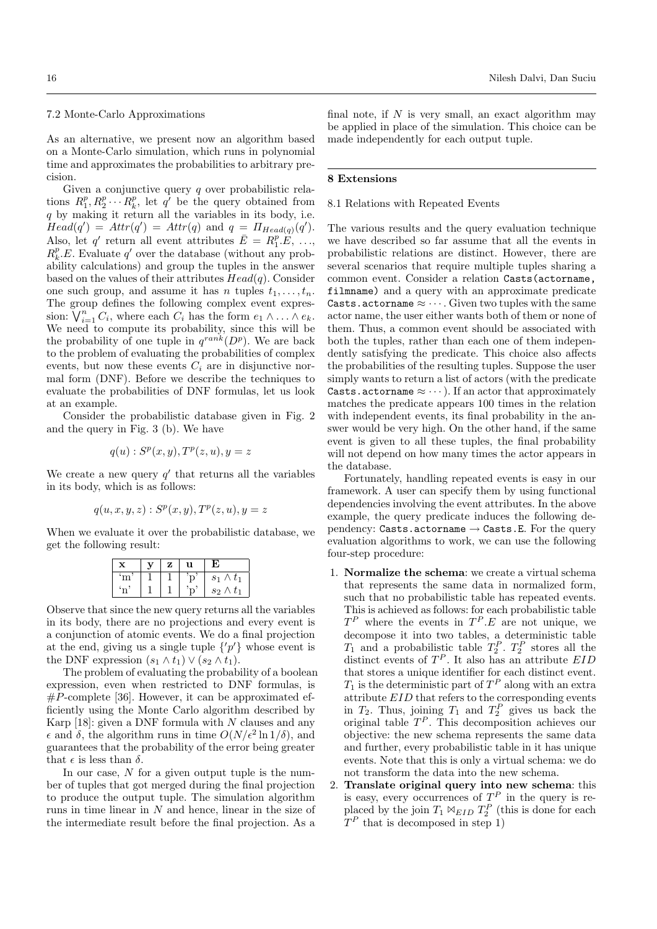#### 7.2 Monte-Carlo Approximations

As an alternative, we present now an algorithm based on a Monte-Carlo simulation, which runs in polynomial time and approximates the probabilities to arbitrary precision.

Given a conjunctive query  $q$  over probabilistic relations  $R_1^p, R_2^p \cdots R_k^p$ , let  $q'$  be the query obtained from q by making it return all the variables in its body, i.e.  $Head(q') = Attr(q') =Attr(q)$  and  $q = \Pi_{Head(q)}(q').$ Also, let q' return all event attributes  $\bar{E} = R_1^p \cdot \hat{E}, \ldots,$  $R_k^p.E$ . Evaluate q' over the database (without any probability calculations) and group the tuples in the answer based on the values of their attributes  $Head(q)$ . Consider one such group, and assume it has n tuples  $t_1, \ldots, t_n$ . The group defines the following complex event expression:  $\bigvee_{i=1}^{n} C_i$ , where each  $C_i$  has the form  $e_1 \wedge \ldots \wedge e_k$ . We need to compute its probability, since this will be the probability of one tuple in  $q^{rank}(D^p)$ . We are back to the problem of evaluating the probabilities of complex events, but now these events  $C_i$  are in disjunctive normal form (DNF). Before we describe the techniques to evaluate the probabilities of DNF formulas, let us look at an example.

Consider the probabilistic database given in Fig. 2 and the query in Fig. 3 (b). We have

$$
q(u) : Sp(x, y), Tp(z, u), y = z
$$

We create a new query  $q'$  that returns all the variables in its body, which is as follows:

$$
q(u, x, y, z): Sp(x, y), Tp(z, u), y = z
$$

When we evaluate it over the probabilistic database, we get the following result:

|  | z | u | E)               |
|--|---|---|------------------|
|  |   |   | $s_1 \wedge t_1$ |
|  |   |   | $s_2 \wedge t_1$ |

Observe that since the new query returns all the variables in its body, there are no projections and every event is a conjunction of atomic events. We do a final projection at the end, giving us a single tuple  $\{p'\}$  whose event is the DNF expression  $(s_1 \wedge t_1) \vee (s_2 \wedge t_1)$ .

The problem of evaluating the probability of a boolean expression, even when restricted to DNF formulas, is  $\#P$ -complete [36]. However, it can be approximated efficiently using the Monte Carlo algorithm described by Karp  $[18]$ : given a DNF formula with N clauses and any  $\epsilon$  and  $\delta$ , the algorithm runs in time  $O(N/\epsilon^2 \ln 1/\delta)$ , and guarantees that the probability of the error being greater that  $\epsilon$  is less than  $\delta$ .

In our case,  $N$  for a given output tuple is the number of tuples that got merged during the final projection to produce the output tuple. The simulation algorithm runs in time linear in  $N$  and hence, linear in the size of the intermediate result before the final projection. As a

final note, if  $N$  is very small, an exact algorithm may be applied in place of the simulation. This choice can be made independently for each output tuple.

## 8 Extensions

#### 8.1 Relations with Repeated Events

The various results and the query evaluation technique we have described so far assume that all the events in probabilistic relations are distinct. However, there are several scenarios that require multiple tuples sharing a common event. Consider a relation Casts(actorname, filmname) and a query with an approximate predicate Casts.actorname  $\approx \cdots$ . Given two tuples with the same actor name, the user either wants both of them or none of them. Thus, a common event should be associated with both the tuples, rather than each one of them independently satisfying the predicate. This choice also affects the probabilities of the resulting tuples. Suppose the user simply wants to return a list of actors (with the predicate Casts.actorname  $\approx \cdots$ ). If an actor that approximately matches the predicate appears 100 times in the relation with independent events, its final probability in the answer would be very high. On the other hand, if the same event is given to all these tuples, the final probability will not depend on how many times the actor appears in the database.

Fortunately, handling repeated events is easy in our framework. A user can specify them by using functional dependencies involving the event attributes. In the above example, the query predicate induces the following dependency: Casts.actorname  $\rightarrow$  Casts.E. For the query evaluation algorithms to work, we can use the following four-step procedure:

- 1. Normalize the schema: we create a virtual schema that represents the same data in normalized form, such that no probabilistic table has repeated events. This is achieved as follows: for each probabilistic table  $T^P$  where the events in  $T^P.E$  are not unique, we decompose it into two tables, a deterministic table  $T_1$  and a probabilistic table  $T_2^P$ .  $T_2^P$  stores all the distinct events of  $T^P$ . It also has an attribute  $EID$ that stores a unique identifier for each distinct event.  $T_1$  is the deterministic part of  $T^P$  along with an extra attribute EID that refers to the corresponding events in  $T_2$ . Thus, joining  $T_1$  and  $T_2^P$  gives us back the original table  $T^P$ . This decomposition achieves our objective: the new schema represents the same data and further, every probabilistic table in it has unique events. Note that this is only a virtual schema: we do not transform the data into the new schema.
- 2. Translate original query into new schema: this is easy, every occurrences of  $T^P$  in the query is replaced by the join  $T_1 \bowtie_{EID} T_2^P$  (this is done for each  $T^P$  that is decomposed in step 1)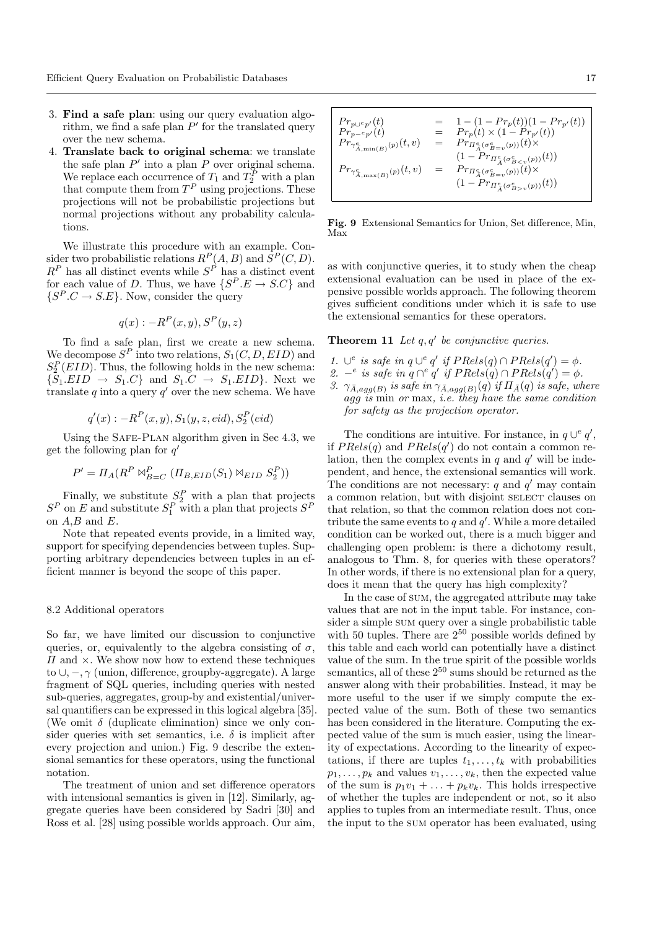- 3. Find a safe plan: using our query evaluation algorithm, we find a safe plan  $P'$  for the translated query over the new schema.
- 4. Translate back to original schema: we translate the safe plan  $P'$  into a plan P over original schema. We replace each occurrence of  $T_1$  and  $T_2^P$  with a plan that compute them from  $T^P$  using projections. These projections will not be probabilistic projections but normal projections without any probability calculations.

We illustrate this procedure with an example. Consider two probabilistic relations  $R^P(A, B)$  and  $S^P(C, D)$ .  $R^P$  has all distinct events while  $S^P$  has a distinct event for each value of D. Thus, we have  $\{S^P.E \to S.C\}$  and  $\{S^P.C \to S.E\}$ . Now, consider the query

$$
q(x) : -R^P(x, y), S^P(y, z)
$$

To find a safe plan, first we create a new schema. We decompose  $S^P$  into two relations,  $S_1(C, D, EID)$  and  $S_2^P(EID)$ . Thus, the following holds in the new schema:  $\{\bar{S}_1.EID \rightarrow S_1.C\}$  and  $S_1.C \rightarrow S_1.EID\}$ . Next we translate  $q$  into a query  $q'$  over the new schema. We have

$$
q'(x) : -RP(x, y), S1(y, z, ed), S2P(eid)
$$

Using the SAFE-PLAN algorithm given in Sec 4.3, we get the following plan for  $q'$ 

$$
P' = \Pi_A(R^P \bowtie_{B=C}^P (\Pi_{B, EID}(S_1) \bowtie_{EID} S_2^P))
$$

Finally, we substitute  $S_2^P$  with a plan that projects  $S^P$  on E and substitute  $S_1^P$  with a plan that projects  $S^P$ on  $A,B$  and  $E$ .

Note that repeated events provide, in a limited way, support for specifying dependencies between tuples. Supporting arbitrary dependencies between tuples in an efficient manner is beyond the scope of this paper.

#### 8.2 Additional operators

So far, we have limited our discussion to conjunctive queries, or, equivalently to the algebra consisting of  $\sigma$ ,  $\Pi$  and  $\times$ . We show now how to extend these techniques to  $\cup, -, \gamma$  (union, difference, group by-aggregate). A large fragment of SQL queries, including queries with nested sub-queries, aggregates, group-by and existential/universal quantifiers can be expressed in this logical algebra [35]. (We omit  $\delta$  (duplicate elimination) since we only consider queries with set semantics, i.e.  $\delta$  is implicit after every projection and union.) Fig. 9 describe the extensional semantics for these operators, using the functional notation.

The treatment of union and set difference operators with intensional semantics is given in [12]. Similarly, aggregate queries have been considered by Sadri [30] and Ross et al. [28] using possible worlds approach. Our aim,

$$
\begin{array}{lcl} Pr_{p\cup ^e p'}(t) &=& 1 - (1 - Pr_p(t))(1 - Pr_{p'}(t))\\ Pr_{p-^e p'}(t) &=& Pr_p(t) \times (1 - Pr_{p'}(t))\\ Pr_{\gamma^e_{\tilde{A}, \min(B)}(p)}(t,v) &=& Pr_{\pi^e_{\tilde{A}}(\sigma^e_{B=v}(p))}(t) \times \\ Pr_{\gamma^e_{\tilde{A}, \max(B)}(p)}(t,v) &=& Pr_{\pi^e_{\tilde{A}}(\sigma^e_{B=v}(p))}(t) \times \\ & & (1 - Pr_{\pi^e_{\tilde{A}}(\sigma^e_{B=v}(p))}(t) \times \\ & & (1 - Pr_{\pi^e_{\tilde{A}}(\sigma^e_{B>v}(p))}(t)) \end{array}
$$

Fig. 9 Extensional Semantics for Union, Set difference, Min, Max

as with conjunctive queries, it to study when the cheap extensional evaluation can be used in place of the expensive possible worlds approach. The following theorem gives sufficient conditions under which it is safe to use the extensional semantics for these operators.

**Theorem 11** Let  $q, q'$  be conjunctive queries.

- 1. ∪<sup>e</sup> is safe in  $q \cup^e q'$  if  $PRels(q) \cap PRels(q') = \phi$ .
- 2.  $-e$  is safe in  $q \cap^e q'$  if  $PRels(q) \cap PRels(q') = \phi$ .
- 3.  $\gamma_{\bar{A},agg(B)}$  is safe in  $\gamma_{\bar{A},agg(B)}(q)$  if  $\Pi_{\bar{A}}(q)$  is safe, where  $agg\$ is min or max, i.e. they have the same condition for safety as the projection operator.

The conditions are intuitive. For instance, in  $q \cup^e q'$ , if  $PRels(q)$  and  $PRels(q')$  do not contain a common relation, then the complex events in  $q$  and  $q'$  will be independent, and hence, the extensional semantics will work. The conditions are not necessary:  $q$  and  $q'$  may contain a common relation, but with disjoint SELECT clauses on that relation, so that the common relation does not contribute the same events to  $q$  and  $q'$ . While a more detailed condition can be worked out, there is a much bigger and challenging open problem: is there a dichotomy result, analogous to Thm. 8, for queries with these operators? In other words, if there is no extensional plan for a query, does it mean that the query has high complexity?

In the case of sum, the aggregated attribute may take values that are not in the input table. For instance, consider a simple sum query over a single probabilistic table with 50 tuples. There are  $2^{50}$  possible worlds defined by this table and each world can potentially have a distinct value of the sum. In the true spirit of the possible worlds semantics, all of these  $2^{50}$  sums should be returned as the answer along with their probabilities. Instead, it may be more useful to the user if we simply compute the expected value of the sum. Both of these two semantics has been considered in the literature. Computing the expected value of the sum is much easier, using the linearity of expectations. According to the linearity of expectations, if there are tuples  $t_1, \ldots, t_k$  with probabilities  $p_1, \ldots, p_k$  and values  $v_1, \ldots, v_k$ , then the expected value of the sum is  $p_1v_1 + \ldots + p_kv_k$ . This holds irrespective of whether the tuples are independent or not, so it also applies to tuples from an intermediate result. Thus, once the input to the sum operator has been evaluated, using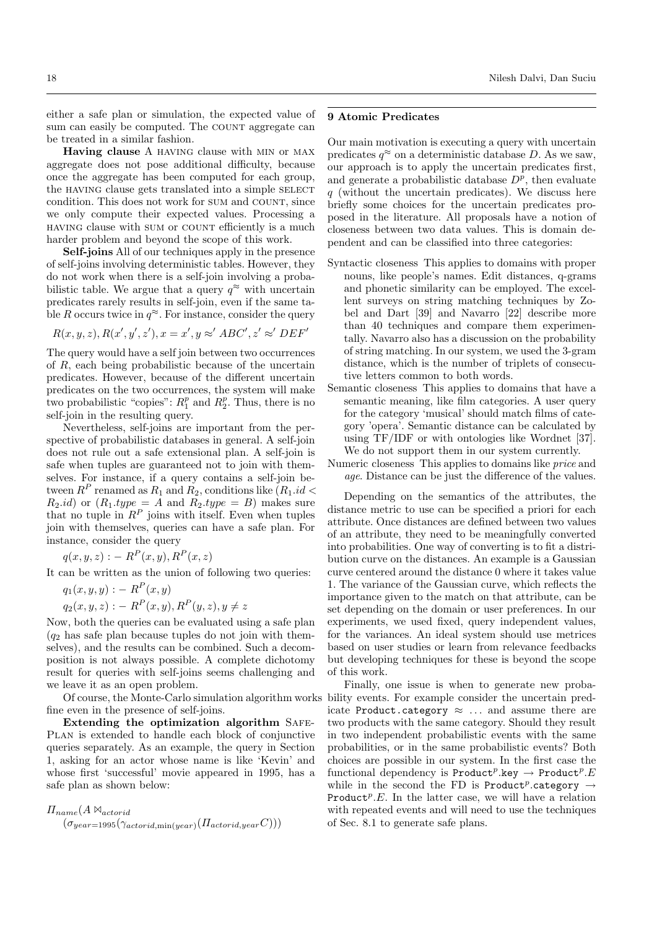either a safe plan or simulation, the expected value of sum can easily be computed. The COUNT aggregate can be treated in a similar fashion.

Having clause A having clause with min or max aggregate does not pose additional difficulty, because once the aggregate has been computed for each group, the HAVING clause gets translated into a simple SELECT condition. This does not work for SUM and COUNT, since we only compute their expected values. Processing a having clause with sum or count efficiently is a much harder problem and beyond the scope of this work.

Self-joins All of our techniques apply in the presence of self-joins involving deterministic tables. However, they do not work when there is a self-join involving a probabilistic table. We argue that a query  $q^{\approx}$  with uncertain predicates rarely results in self-join, even if the same table R occurs twice in  $q^{\infty}$ . For instance, consider the query

$$
R(x, y, z), R(x', y', z'), x = x', y \approx' ABC', z' \approx' DEF'
$$

The query would have a self join between two occurrences of R, each being probabilistic because of the uncertain predicates. However, because of the different uncertain predicates on the two occurrences, the system will make two probabilistic "copies":  $R_1^p$  and  $R_2^p$ . Thus, there is no self-join in the resulting query.

Nevertheless, self-joins are important from the perspective of probabilistic databases in general. A self-join does not rule out a safe extensional plan. A self-join is safe when tuples are guaranteed not to join with themselves. For instance, if a query contains a self-join between  $R^P$  renamed as  $R_1$  and  $R_2$ , conditions like  $(R_1.id <$  $R_2.id)$  or  $(R_1.type = A$  and  $R_2.type = B)$  makes sure that no tuple in  $R^P$  joins with itself. Even when tuples join with themselves, queries can have a safe plan. For instance, consider the query

$$
q(x, y, z) : -RP(x, y), RP(x, z)
$$

It can be written as the union of following two queries:

$$
q_1(x, y, y) := RP(x, y)
$$
  
\n $q_2(x, y, z) := RP(x, y), RP(y, z), y \neq z$ 

Now, both the queries can be evaluated using a safe plan  $(q_2)$  has safe plan because tuples do not join with themselves), and the results can be combined. Such a decomposition is not always possible. A complete dichotomy result for queries with self-joins seems challenging and we leave it as an open problem.

fine even in the presence of self-joins.

Extending the optimization algorithm Safe-Plan is extended to handle each block of conjunctive queries separately. As an example, the query in Section 1, asking for an actor whose name is like 'Kevin' and whose first 'successful' movie appeared in 1995, has a safe plan as shown below:

 $\Pi_{name}(A \bowtie_{actorid}$  $(\sigma_{year=1995}(\gamma_{actorid,min(year)}(H_{actorid,year}C)))$ 

## 9 Atomic Predicates

Our main motivation is executing a query with uncertain predicates  $q^{\approx}$  on a deterministic database D. As we saw, our approach is to apply the uncertain predicates first, and generate a probabilistic database  $D^p$ , then evaluate  $q$  (without the uncertain predicates). We discuss here briefly some choices for the uncertain predicates proposed in the literature. All proposals have a notion of closeness between two data values. This is domain dependent and can be classified into three categories:

- Syntactic closeness This applies to domains with proper nouns, like people's names. Edit distances, q-grams and phonetic similarity can be employed. The excellent surveys on string matching techniques by Zobel and Dart [39] and Navarro [22] describe more than 40 techniques and compare them experimentally. Navarro also has a discussion on the probability of string matching. In our system, we used the 3-gram distance, which is the number of triplets of consecutive letters common to both words.
- Semantic closeness This applies to domains that have a semantic meaning, like film categories. A user query for the category 'musical' should match films of category 'opera'. Semantic distance can be calculated by using TF/IDF or with ontologies like Wordnet [37]. We do not support them in our system currently.
- Numeric closeness This applies to domains like price and age. Distance can be just the difference of the values.

Depending on the semantics of the attributes, the distance metric to use can be specified a priori for each attribute. Once distances are defined between two values of an attribute, they need to be meaningfully converted into probabilities. One way of converting is to fit a distribution curve on the distances. An example is a Gaussian curve centered around the distance 0 where it takes value 1. The variance of the Gaussian curve, which reflects the importance given to the match on that attribute, can be set depending on the domain or user preferences. In our experiments, we used fixed, query independent values, for the variances. An ideal system should use metrices based on user studies or learn from relevance feedbacks but developing techniques for these is beyond the scope of this work.

Of course, the Monte-Carlo simulation algorithm works bility events. For example consider the uncertain pred-Finally, one issue is when to generate new probaicate Product.category  $\approx$  ... and assume there are two products with the same category. Should they result in two independent probabilistic events with the same probabilities, or in the same probabilistic events? Both choices are possible in our system. In the first case the functional dependency is Product<sup>p</sup>.key  $\rightarrow$  Product<sup>p</sup>.E while in the second the FD is Product<sup>p</sup>.category  $\rightarrow$ Product<sup>p</sup>.E. In the latter case, we will have a relation with repeated events and will need to use the techniques of Sec. 8.1 to generate safe plans.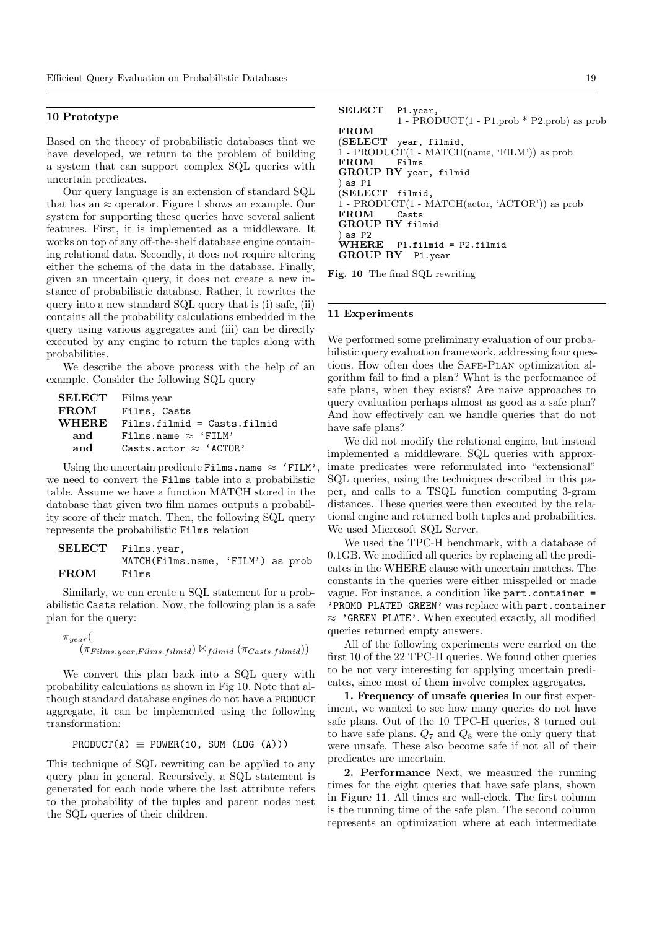## 10 Prototype

Based on the theory of probabilistic databases that we have developed, we return to the problem of building a system that can support complex SQL queries with uncertain predicates.

Our query language is an extension of standard SQL that has an  $\approx$  operator. Figure 1 shows an example. Our system for supporting these queries have several salient features. First, it is implemented as a middleware. It works on top of any off-the-shelf database engine containing relational data. Secondly, it does not require altering either the schema of the data in the database. Finally, given an uncertain query, it does not create a new instance of probabilistic database. Rather, it rewrites the query into a new standard SQL query that is (i) safe, (ii) contains all the probability calculations embedded in the query using various aggregates and (iii) can be directly executed by any engine to return the tuples along with probabilities.

We describe the above process with the help of an example. Consider the following SQL query

```
SELECT Films.year
FROM Films, Casts
WHERE Films.filmid = Casts.filmid
  and Films.name \approx 'FILM'
  and \text{Casts}.\text{actor} \approx \text{'}\text{ACTOR'}
```
Using the uncertain predicate Films.name  $\approx$  'FILM', we need to convert the Films table into a probabilistic table. Assume we have a function MATCH stored in the database that given two film names outputs a probability score of their match. Then, the following SQL query represents the probabilistic Films relation

```
SELECT Films.year,
         MATCH(Films.name, 'FILM') as prob
FROM Films
```
Similarly, we can create a SQL statement for a probabilistic Casts relation. Now, the following plan is a safe plan for the query:

```
\pi_{year}(
     (\pi_{Films.year, Films.filmid}) \Join_{filmid} (\pi_{Casts.filmid}))
```
We convert this plan back into a SQL query with probability calculations as shown in Fig 10. Note that although standard database engines do not have a PRODUCT aggregate, it can be implemented using the following transformation:

```
PRODUCT(A) \equiv POWER(10, SUM (LOG (A)))
```
This technique of SQL rewriting can be applied to any query plan in general. Recursively, a SQL statement is generated for each node where the last attribute refers to the probability of the tuples and parent nodes nest the SQL queries of their children.

SELECT P1.year  $1 - \text{PRODUCT}(1 - \text{P1.prob} * \text{P2.prob})$  as prob FROM<br>(SELECT) year, filmid.  $1 - \text{PRODUCT}(1 - \text{MATCH}(\text{name}, \text{'}\text{FLM}'))$  as prob FROM Films GROUP BY year, filmid ) as P1 (SELECT filmid, 1 - PRODUCT(1 - MATCH(actor, 'ACTOR')) as prob FROM Casts GROUP BY filmid ) as P2<br>**WHERE**  $P1.filmid = P2.filmid$ GROUP BY P1.year

Fig. 10 The final SQL rewriting

#### 11 Experiments

We performed some preliminary evaluation of our probabilistic query evaluation framework, addressing four questions. How often does the Safe-Plan optimization algorithm fail to find a plan? What is the performance of safe plans, when they exists? Are naive approaches to query evaluation perhaps almost as good as a safe plan? And how effectively can we handle queries that do not have safe plans?

We did not modify the relational engine, but instead implemented a middleware. SQL queries with approximate predicates were reformulated into "extensional" SQL queries, using the techniques described in this paper, and calls to a TSQL function computing 3-gram distances. These queries were then executed by the relational engine and returned both tuples and probabilities. We used Microsoft SQL Server.

We used the TPC-H benchmark, with a database of 0.1GB. We modified all queries by replacing all the predicates in the WHERE clause with uncertain matches. The constants in the queries were either misspelled or made vague. For instance, a condition like part.container = 'PROMO PLATED GREEN' was replace with part.container  $\approx$  'GREEN PLATE'. When executed exactly, all modified queries returned empty answers.

All of the following experiments were carried on the first 10 of the 22 TPC-H queries. We found other queries to be not very interesting for applying uncertain predicates, since most of them involve complex aggregates.

1. Frequency of unsafe queries In our first experiment, we wanted to see how many queries do not have safe plans. Out of the 10 TPC-H queries, 8 turned out to have safe plans.  $Q_7$  and  $Q_8$  were the only query that were unsafe. These also become safe if not all of their predicates are uncertain.

2. Performance Next, we measured the running times for the eight queries that have safe plans, shown in Figure 11. All times are wall-clock. The first column is the running time of the safe plan. The second column represents an optimization where at each intermediate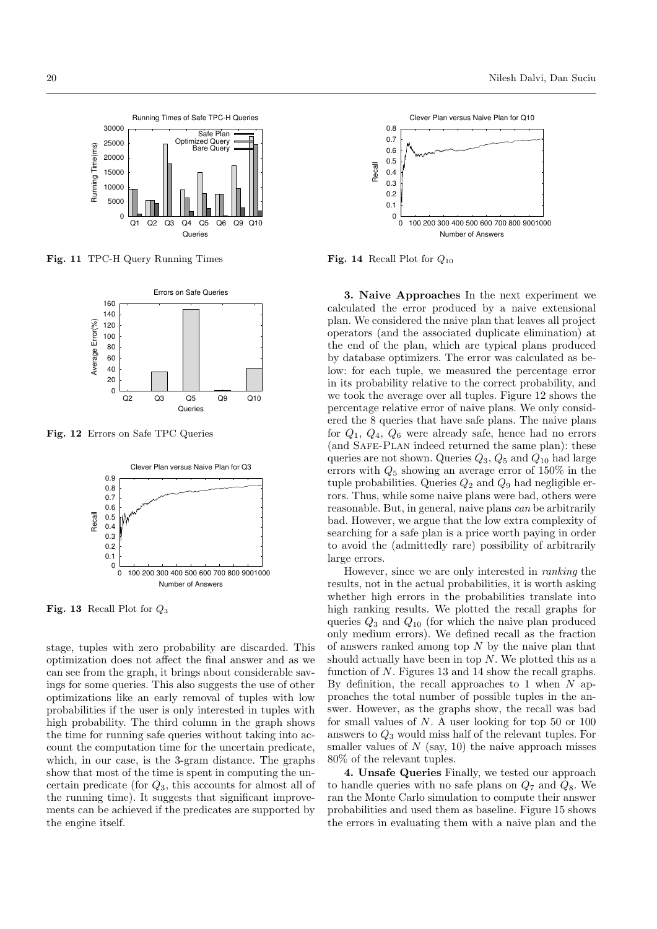Running Times of Safe TPC-H Queries 30000 Safe Plan Optimized Query 25000 Running Time(ms) Running Time(ms) Bare Query 20000 15000 10000 5000  $0\frac{\Box \Box}{\Box 1}$ Q1 Q2 Q3 Q4 Q5 Q6 Q9 Q10 Queries

Fig. 11 TPC-H Query Running Times



Fig. 12 Errors on Safe TPC Queries



**Fig. 13** Recall Plot for  $Q_3$ 

stage, tuples with zero probability are discarded. This optimization does not affect the final answer and as we can see from the graph, it brings about considerable savings for some queries. This also suggests the use of other optimizations like an early removal of tuples with low probabilities if the user is only interested in tuples with high probability. The third column in the graph shows the time for running safe queries without taking into account the computation time for the uncertain predicate, which, in our case, is the 3-gram distance. The graphs show that most of the time is spent in computing the uncertain predicate (for  $Q_3$ , this accounts for almost all of the running time). It suggests that significant improvements can be achieved if the predicates are supported by the engine itself.



Fig. 14 Recall Plot for  $Q_{10}$ 

3. Naive Approaches In the next experiment we calculated the error produced by a naive extensional plan. We considered the naive plan that leaves all project operators (and the associated duplicate elimination) at the end of the plan, which are typical plans produced by database optimizers. The error was calculated as below: for each tuple, we measured the percentage error in its probability relative to the correct probability, and we took the average over all tuples. Figure 12 shows the percentage relative error of naive plans. We only considered the 8 queries that have safe plans. The naive plans for  $Q_1$ ,  $Q_4$ ,  $Q_6$  were already safe, hence had no errors (and Safe-Plan indeed returned the same plan): these queries are not shown. Queries  $Q_3$ ,  $Q_5$  and  $Q_{10}$  had large errors with  $Q_5$  showing an average error of 150% in the tuple probabilities. Queries  $Q_2$  and  $Q_9$  had negligible errors. Thus, while some naive plans were bad, others were reasonable. But, in general, naive plans can be arbitrarily bad. However, we argue that the low extra complexity of searching for a safe plan is a price worth paying in order to avoid the (admittedly rare) possibility of arbitrarily large errors.

However, since we are only interested in ranking the results, not in the actual probabilities, it is worth asking whether high errors in the probabilities translate into high ranking results. We plotted the recall graphs for queries  $Q_3$  and  $Q_{10}$  (for which the naive plan produced only medium errors). We defined recall as the fraction of answers ranked among top  $N$  by the naive plan that should actually have been in top  $N$ . We plotted this as a function of N. Figures 13 and 14 show the recall graphs. By definition, the recall approaches to 1 when  $N$  approaches the total number of possible tuples in the answer. However, as the graphs show, the recall was bad for small values of  $N$ . A user looking for top 50 or 100 answers to  $Q_3$  would miss half of the relevant tuples. For smaller values of  $N$  (say, 10) the naive approach misses 80% of the relevant tuples.

4. Unsafe Queries Finally, we tested our approach to handle queries with no safe plans on  $Q_7$  and  $Q_8$ . We ran the Monte Carlo simulation to compute their answer probabilities and used them as baseline. Figure 15 shows the errors in evaluating them with a naive plan and the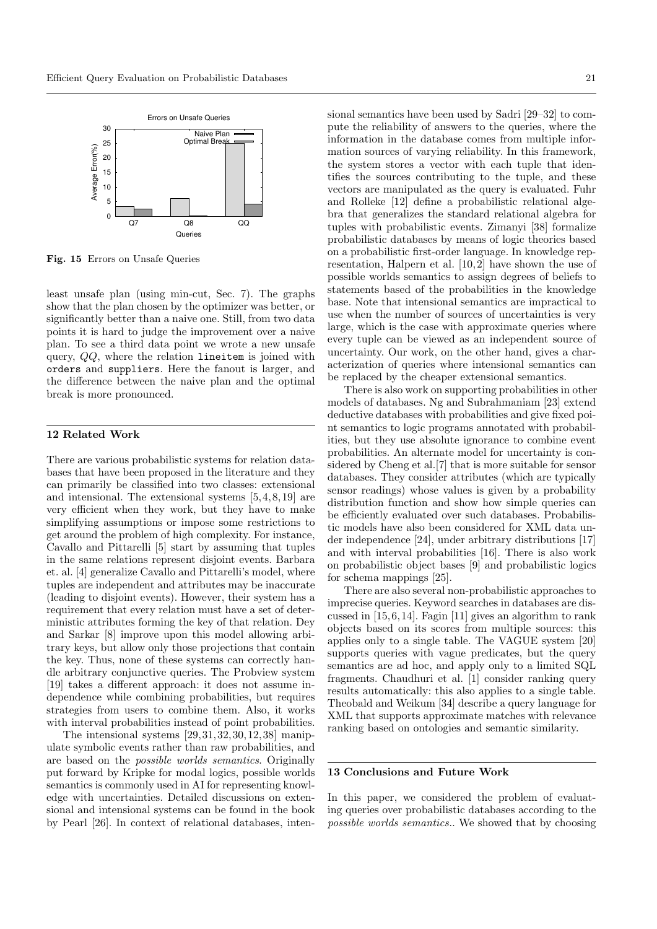

Fig. 15 Errors on Unsafe Queries

least unsafe plan (using min-cut, Sec. 7). The graphs show that the plan chosen by the optimizer was better, or significantly better than a naive one. Still, from two data points it is hard to judge the improvement over a naive plan. To see a third data point we wrote a new unsafe query, QQ, where the relation lineitem is joined with orders and suppliers. Here the fanout is larger, and the difference between the naive plan and the optimal break is more pronounced.

#### 12 Related Work

There are various probabilistic systems for relation databases that have been proposed in the literature and they can primarily be classified into two classes: extensional and intensional. The extensional systems [5, 4, 8,19] are very efficient when they work, but they have to make simplifying assumptions or impose some restrictions to get around the problem of high complexity. For instance, Cavallo and Pittarelli [5] start by assuming that tuples in the same relations represent disjoint events. Barbara et. al. [4] generalize Cavallo and Pittarelli's model, where tuples are independent and attributes may be inaccurate (leading to disjoint events). However, their system has a requirement that every relation must have a set of deterministic attributes forming the key of that relation. Dey and Sarkar [8] improve upon this model allowing arbitrary keys, but allow only those projections that contain the key. Thus, none of these systems can correctly handle arbitrary conjunctive queries. The Probview system [19] takes a different approach: it does not assume independence while combining probabilities, but requires strategies from users to combine them. Also, it works with interval probabilities instead of point probabilities.

The intensional systems [29, 31, 32,30, 12, 38] manipulate symbolic events rather than raw probabilities, and are based on the possible worlds semantics. Originally put forward by Kripke for modal logics, possible worlds semantics is commonly used in AI for representing knowledge with uncertainties. Detailed discussions on extensional and intensional systems can be found in the book by Pearl [26]. In context of relational databases, inten-

sional semantics have been used by Sadri [29–32] to compute the reliability of answers to the queries, where the information in the database comes from multiple information sources of varying reliability. In this framework, the system stores a vector with each tuple that identifies the sources contributing to the tuple, and these vectors are manipulated as the query is evaluated. Fuhr and Rolleke [12] define a probabilistic relational algebra that generalizes the standard relational algebra for tuples with probabilistic events. Zimanyi [38] formalize probabilistic databases by means of logic theories based on a probabilistic first-order language. In knowledge representation, Halpern et al. [10, 2] have shown the use of possible worlds semantics to assign degrees of beliefs to statements based of the probabilities in the knowledge base. Note that intensional semantics are impractical to use when the number of sources of uncertainties is very large, which is the case with approximate queries where every tuple can be viewed as an independent source of uncertainty. Our work, on the other hand, gives a characterization of queries where intensional semantics can be replaced by the cheaper extensional semantics.

There is also work on supporting probabilities in other models of databases. Ng and Subrahmaniam [23] extend deductive databases with probabilities and give fixed point semantics to logic programs annotated with probabilities, but they use absolute ignorance to combine event probabilities. An alternate model for uncertainty is considered by Cheng et al.[7] that is more suitable for sensor databases. They consider attributes (which are typically sensor readings) whose values is given by a probability distribution function and show how simple queries can be efficiently evaluated over such databases. Probabilistic models have also been considered for XML data under independence [24], under arbitrary distributions [17] and with interval probabilities [16]. There is also work on probabilistic object bases [9] and probabilistic logics for schema mappings [25].

There are also several non-probabilistic approaches to imprecise queries. Keyword searches in databases are discussed in [15,6, 14]. Fagin [11] gives an algorithm to rank objects based on its scores from multiple sources: this applies only to a single table. The VAGUE system [20] supports queries with vague predicates, but the query semantics are ad hoc, and apply only to a limited SQL fragments. Chaudhuri et al. [1] consider ranking query results automatically: this also applies to a single table. Theobald and Weikum [34] describe a query language for XML that supports approximate matches with relevance ranking based on ontologies and semantic similarity.

#### 13 Conclusions and Future Work

In this paper, we considered the problem of evaluating queries over probabilistic databases according to the possible worlds semantics.. We showed that by choosing